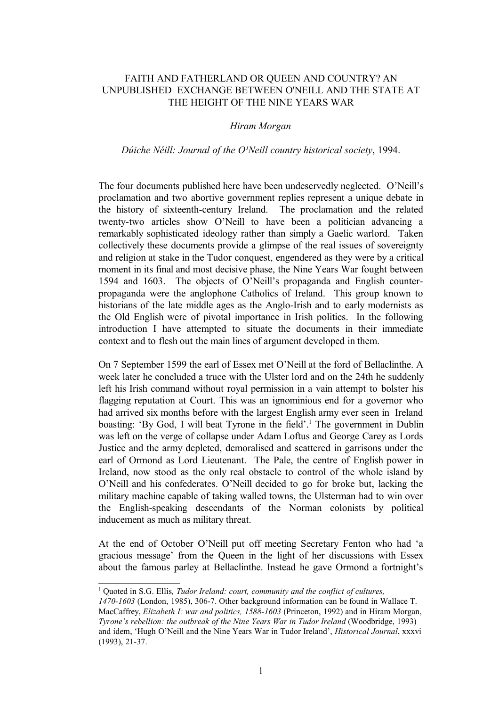## FAITH AND FATHERLAND OR QUEEN AND COUNTRY? AN UNPUBLISHED EXCHANGE BETWEEN O'NEILL AND THE STATE AT THE HEIGHT OF THE NINE YEARS WAR

## *Hiram Morgan*

## *Dúiche Néill: Journal of the O'Neill country historical society, 1994.*

The four documents published here have been undeservedly neglected. O'Neill's proclamation and two abortive government replies represent a unique debate in the history of sixteenth-century Ireland. The proclamation and the related twenty-two articles show O'Neill to have been a politician advancing a remarkably sophisticated ideology rather than simply a Gaelic warlord. Taken collectively these documents provide a glimpse of the real issues of sovereignty and religion at stake in the Tudor conquest, engendered as they were by a critical moment in its final and most decisive phase, the Nine Years War fought between 1594 and 1603. The objects of O'Neill's propaganda and English counterpropaganda were the anglophone Catholics of Ireland. This group known to historians of the late middle ages as the Anglo-Irish and to early modernists as the Old English were of pivotal importance in Irish politics. In the following introduction I have attempted to situate the documents in their immediate context and to flesh out the main lines of argument developed in them.

On 7 September 1599 the earl of Essex met O'Neill at the ford of Bellaclinthe. A week later he concluded a truce with the Ulster lord and on the 24th he suddenly left his Irish command without royal permission in a vain attempt to bolster his flagging reputation at Court. This was an ignominious end for a governor who had arrived six months before with the largest English army ever seen in Ireland boasting: 'By God, I will beat Tyrone in the field'.<sup>[1](#page-0-0)</sup> The government in Dublin was left on the verge of collapse under Adam Loftus and George Carey as Lords Justice and the army depleted, demoralised and scattered in garrisons under the earl of Ormond as Lord Lieutenant. The Pale, the centre of English power in Ireland, now stood as the only real obstacle to control of the whole island by O'Neill and his confederates. O'Neill decided to go for broke but, lacking the military machine capable of taking walled towns, the Ulsterman had to win over the English-speaking descendants of the Norman colonists by political inducement as much as military threat.

At the end of October O'Neill put off meeting Secretary Fenton who had 'a gracious message' from the Queen in the light of her discussions with Essex about the famous parley at Bellaclinthe. Instead he gave Ormond a fortnight's

<span id="page-0-0"></span><sup>&</sup>lt;sup>1</sup> Quoted in S.G. Ellis, *Tudor Ireland: court, community and the conflict of cultures,* 

*<sup>1470-1603</sup>* (London, 1985), 306-7. Other background information can be found in Wallace T. MacCaffrey, *Elizabeth I: war and politics, 1588-1603* (Princeton, 1992) and in Hiram Morgan, *Tyrone's rebellion: the outbreak of the Nine Years War in Tudor Ireland* (Woodbridge, 1993) and idem, 'Hugh O'Neill and the Nine Years War in Tudor Ireland', *Historical Journal*, xxxvi (1993), 21-37.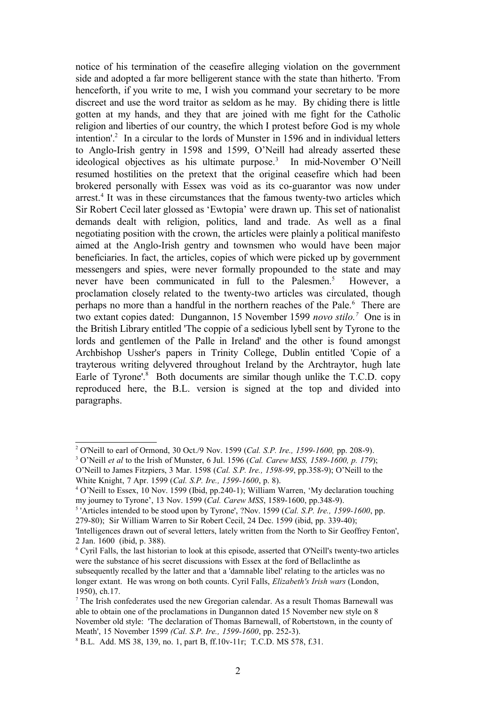notice of his termination of the ceasefire alleging violation on the government side and adopted a far more belligerent stance with the state than hitherto. 'From henceforth, if you write to me, I wish you command your secretary to be more discreet and use the word traitor as seldom as he may. By chiding there is little gotten at my hands, and they that are joined with me fight for the Catholic religion and liberties of our country, the which I protest before God is my whole intention'.<sup>[2](#page-1-0)</sup> In a circular to the lords of Munster in 1596 and in individual letters to Anglo-Irish gentry in 1598 and 1599, O'Neill had already asserted these ideological objectives as his ultimate purpose.<sup>[3](#page-1-1)</sup> In mid-November O'Neill resumed hostilities on the pretext that the original ceasefire which had been brokered personally with Essex was void as its co-guarantor was now under arrest.<sup>[4](#page-1-2)</sup> It was in these circumstances that the famous twenty-two articles which Sir Robert Cecil later glossed as 'Ewtopia' were drawn up. This set of nationalist demands dealt with religion, politics, land and trade. As well as a final negotiating position with the crown, the articles were plainly a political manifesto aimed at the Anglo-Irish gentry and townsmen who would have been major beneficiaries. In fact, the articles, copies of which were picked up by government messengers and spies, were never formally propounded to the state and may never have been communicated in full to the Palesmen.<sup>[5](#page-1-3)</sup> However, a proclamation closely related to the twenty-two articles was circulated, though perhaps no more than a handful in the northern reaches of the Pale.<sup>[6](#page-1-4)</sup> There are two extant copies dated: Dungannon, 15 November 1599 *novo stilo.[7](#page-1-5)* One is in the British Library entitled 'The coppie of a sedicious lybell sent by Tyrone to the lords and gentlemen of the Palle in Ireland' and the other is found amongst Archbishop Ussher's papers in Trinity College, Dublin entitled 'Copie of a trayterous writing delyvered throughout Ireland by the Archtraytor, hugh late Earle of Tyrone'.<sup>[8](#page-1-6)</sup> Both documents are similar though unlike the T.C.D. copy reproduced here, the B.L. version is signed at the top and divided into paragraphs.

<span id="page-1-0"></span><sup>2</sup> O'Neill to earl of Ormond, 30 Oct./9 Nov. 1599 (*Cal. S.P. Ire., 1599-1600,* pp. 208-9).

<span id="page-1-1"></span><sup>3</sup> O'Neill *et al* to the Irish of Munster, 6 Jul. 1596 (*Cal. Carew MSS, 1589-1600, p. 179*);

O'Neill to James Fitzpiers, 3 Mar. 1598 (*Cal. S.P. Ire., 1598-99*, pp.358-9); O'Neill to the White Knight, 7 Apr. 1599 (*Cal. S.P. Ire., 1599-1600*, p. 8).

<span id="page-1-2"></span><sup>4</sup> O'Neill to Essex, 10 Nov. 1599 (Ibid, pp.240-1); William Warren, 'My declaration touching my journey to Tyrone', 13 Nov. 1599 (*Cal. Carew MSS*, 1589-1600, pp.348-9).

<span id="page-1-3"></span><sup>5</sup> 'Articles intended to be stood upon by Tyrone', ?Nov. 1599 (*Cal. S.P. Ire., 1599-1600*, pp.

<sup>279-80);</sup> Sir William Warren to Sir Robert Cecil, 24 Dec. 1599 (ibid, pp. 339-40);

<sup>&#</sup>x27;Intelligences drawn out of several letters, lately written from the North to Sir Geoffrey Fenton', 2 Jan. 1600 (ibid, p. 388).

<span id="page-1-4"></span><sup>6</sup> Cyril Falls, the last historian to look at this episode, asserted that O'Neill's twenty-two articles were the substance of his secret discussions with Essex at the ford of Bellaclinthe as subsequently recalled by the latter and that a 'damnable libel' relating to the articles was no longer extant. He was wrong on both counts. Cyril Falls, *Elizabeth's Irish wars* (London, 1950), ch.17.

<span id="page-1-5"></span><sup>7</sup> The Irish confederates used the new Gregorian calendar. As a result Thomas Barnewall was able to obtain one of the proclamations in Dungannon dated 15 November new style on 8 November old style: 'The declaration of Thomas Barnewall, of Robertstown, in the county of Meath', 15 November 1599 *(Cal. S.P. Ire., 1599-1600*, pp. 252-3).

<span id="page-1-6"></span><sup>8</sup> B.L. Add. MS 38, 139, no. 1, part B, ff.10v-11r; T.C.D. MS 578, f.31.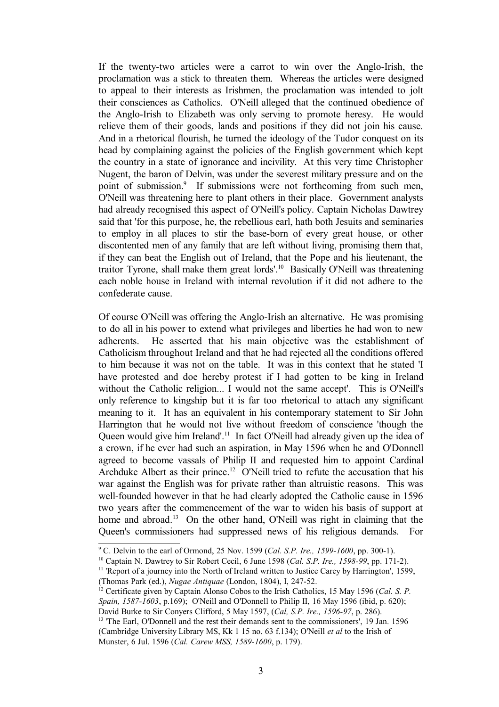If the twenty-two articles were a carrot to win over the Anglo-Irish, the proclamation was a stick to threaten them. Whereas the articles were designed to appeal to their interests as Irishmen, the proclamation was intended to jolt their consciences as Catholics. O'Neill alleged that the continued obedience of the Anglo-Irish to Elizabeth was only serving to promote heresy. He would relieve them of their goods, lands and positions if they did not join his cause. And in a rhetorical flourish, he turned the ideology of the Tudor conquest on its head by complaining against the policies of the English government which kept the country in a state of ignorance and incivility. At this very time Christopher Nugent, the baron of Delvin, was under the severest military pressure and on the point of submission.<sup>[9](#page-2-0)</sup> If submissions were not forthcoming from such men, O'Neill was threatening here to plant others in their place. Government analysts had already recognised this aspect of O'Neill's policy. Captain Nicholas Dawtrey said that 'for this purpose, he, the rebellious earl, hath both Jesuits and seminaries to employ in all places to stir the base-born of every great house, or other discontented men of any family that are left without living, promising them that, if they can beat the English out of Ireland, that the Pope and his lieutenant, the traitor Tyrone, shall make them great lords'.[10](#page-2-1) Basically O'Neill was threatening each noble house in Ireland with internal revolution if it did not adhere to the confederate cause.

Of course O'Neill was offering the Anglo-Irish an alternative. He was promising to do all in his power to extend what privileges and liberties he had won to new adherents. He asserted that his main objective was the establishment of Catholicism throughout Ireland and that he had rejected all the conditions offered to him because it was not on the table. It was in this context that he stated 'I have protested and doe hereby protest if I had gotten to be king in Ireland without the Catholic religion... I would not the same accept'. This is O'Neill's only reference to kingship but it is far too rhetorical to attach any significant meaning to it. It has an equivalent in his contemporary statement to Sir John Harrington that he would not live without freedom of conscience 'though the Queen would give him Ireland'.<sup>[11](#page-2-2)</sup> In fact O'Neill had already given up the idea of a crown, if he ever had such an aspiration, in May 1596 when he and O'Donnell agreed to become vassals of Philip II and requested him to appoint Cardinal Archduke Albert as their prince.<sup>[12](#page-2-3)</sup> O'Neill tried to refute the accusation that his war against the English was for private rather than altruistic reasons. This was well-founded however in that he had clearly adopted the Catholic cause in 1596 two years after the commencement of the war to widen his basis of support at home and abroad.<sup>[13](#page-2-4)</sup> On the other hand, O'Neill was right in claiming that the Queen's commissioners had suppressed news of his religious demands. For

<span id="page-2-0"></span><sup>9</sup> C. Delvin to the earl of Ormond, 25 Nov. 1599 (*Cal. S.P. Ire., 1599-1600*, pp. 300-1).

<span id="page-2-1"></span><sup>10</sup> Captain N. Dawtrey to Sir Robert Cecil, 6 June 1598 (*Cal. S.P. Ire., 1598-99*, pp. 171-2).

<span id="page-2-2"></span><sup>&</sup>lt;sup>11</sup> 'Report of a journey into the North of Ireland written to Justice Carey by Harrington', 1599, (Thomas Park (ed.), *Nugae Antiquae* (London, 1804), I, 247-52.

<span id="page-2-3"></span><sup>12</sup> Certificate given by Captain Alonso Cobos to the Irish Catholics, 15 May 1596 (*Cal. S. P. Spain, 1587-1603*, p.169); O'Neill and O'Donnell to Philip II, 16 May 1596 (ibid, p. 620); David Burke to Sir Conyers Clifford, 5 May 1597, (*Cal, S.P. Ire., 1596-97*, p. 286).

<span id="page-2-4"></span><sup>&</sup>lt;sup>13</sup> 'The Earl, O'Donnell and the rest their demands sent to the commissioners', 19 Jan. 1596 (Cambridge University Library MS, Kk 1 15 no. 63 f.134); O'Neill *et al* to the Irish of Munster, 6 Jul. 1596 (*Cal. Carew MSS, 1589-1600*, p. 179).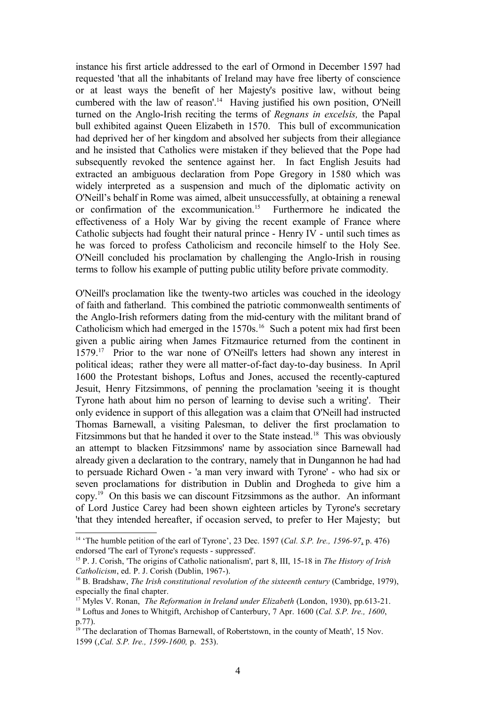instance his first article addressed to the earl of Ormond in December 1597 had requested 'that all the inhabitants of Ireland may have free liberty of conscience or at least ways the benefit of her Majesty's positive law, without being cumbered with the law of reason'.[14](#page-3-0) Having justified his own position, O'Neill turned on the Anglo-Irish reciting the terms of *Regnans in excelsis,* the Papal bull exhibited against Queen Elizabeth in 1570. This bull of excommunication had deprived her of her kingdom and absolved her subjects from their allegiance and he insisted that Catholics were mistaken if they believed that the Pope had subsequently revoked the sentence against her. In fact English Jesuits had extracted an ambiguous declaration from Pope Gregory in 1580 which was widely interpreted as a suspension and much of the diplomatic activity on O'Neill's behalf in Rome was aimed, albeit unsuccessfully, at obtaining a renewal or confirmation of the excommunication.[15](#page-3-1) Furthermore he indicated the effectiveness of a Holy War by giving the recent example of France where Catholic subjects had fought their natural prince - Henry IV - until such times as he was forced to profess Catholicism and reconcile himself to the Holy See. O'Neill concluded his proclamation by challenging the Anglo-Irish in rousing terms to follow his example of putting public utility before private commodity.

O'Neill's proclamation like the twenty-two articles was couched in the ideology of faith and fatherland. This combined the patriotic commonwealth sentiments of the Anglo-Irish reformers dating from the mid-century with the militant brand of Catholicism which had emerged in the 1570s.<sup>[16](#page-3-2)</sup> Such a potent mix had first been given a public airing when James Fitzmaurice returned from the continent in 1579.[17](#page-3-3) Prior to the war none of O'Neill's letters had shown any interest in political ideas; rather they were all matter-of-fact day-to-day business. In April 1600 the Protestant bishops, Loftus and Jones, accused the recently-captured Jesuit, Henry Fitzsimmons, of penning the proclamation 'seeing it is thought Tyrone hath about him no person of learning to devise such a writing'. Their only evidence in support of this allegation was a claim that O'Neill had instructed Thomas Barnewall, a visiting Palesman, to deliver the first proclamation to Fitzsimmons but that he handed it over to the State instead.<sup>[18](#page-3-4)</sup> This was obviously an attempt to blacken Fitzsimmons' name by association since Barnewall had already given a declaration to the contrary, namely that in Dungannon he had had to persuade Richard Owen - 'a man very inward with Tyrone' - who had six or seven proclamations for distribution in Dublin and Drogheda to give him a copy.[19](#page-3-5) On this basis we can discount Fitzsimmons as the author. An informant of Lord Justice Carey had been shown eighteen articles by Tyrone's secretary 'that they intended hereafter, if occasion served, to prefer to Her Majesty; but

<span id="page-3-0"></span><sup>14</sup> 'The humble petition of the earl of Tyrone', 23 Dec. 1597 (*Cal. S.P. Ire., 1596-97*, p. 476) endorsed 'The earl of Tyrone's requests - suppressed'.

<span id="page-3-1"></span><sup>15</sup> P. J. Corish, 'The origins of Catholic nationalism', part 8, III, 15-18 in *The History of Irish Catholicism*, ed. P. J. Corish (Dublin, 1967-).

<span id="page-3-2"></span><sup>&</sup>lt;sup>16</sup> B. Bradshaw, *The Irish constitutional revolution of the sixteenth century* (Cambridge, 1979), especially the final chapter.

<span id="page-3-3"></span><sup>17</sup> Myles V. Ronan, *The Reformation in Ireland under Elizabeth* (London, 1930), pp.613-21.

<span id="page-3-4"></span><sup>18</sup> Loftus and Jones to Whitgift, Archishop of Canterbury, 7 Apr. 1600 (*Cal. S.P. Ire., 1600*, p.77).

<span id="page-3-5"></span><sup>&</sup>lt;sup>19</sup> The declaration of Thomas Barnewall, of Robertstown, in the county of Meath', 15 Nov. 1599 (,*Cal. S.P. Ire., 1599-1600,* p. 253).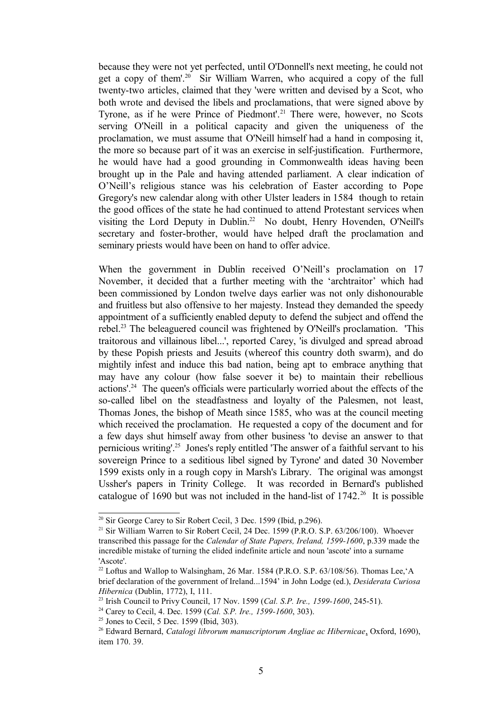because they were not yet perfected, until O'Donnell's next meeting, he could not get a copy of them'.[20](#page-4-0) Sir William Warren, who acquired a copy of the full twenty-two articles, claimed that they 'were written and devised by a Scot, who both wrote and devised the libels and proclamations, that were signed above by Tyrone, as if he were Prince of Piedmont'.<sup>[21](#page-4-1)</sup> There were, however, no Scots serving O'Neill in a political capacity and given the uniqueness of the proclamation, we must assume that O'Neill himself had a hand in composing it, the more so because part of it was an exercise in self-justification. Furthermore, he would have had a good grounding in Commonwealth ideas having been brought up in the Pale and having attended parliament. A clear indication of O'Neill's religious stance was his celebration of Easter according to Pope Gregory's new calendar along with other Ulster leaders in 1584 though to retain the good offices of the state he had continued to attend Protestant services when visiting the Lord Deputy in Dublin.<sup>[22](#page-4-2)</sup> No doubt, Henry Hovenden, O'Neill's secretary and foster-brother, would have helped draft the proclamation and seminary priests would have been on hand to offer advice.

When the government in Dublin received O'Neill's proclamation on 17 November, it decided that a further meeting with the 'archtraitor' which had been commissioned by London twelve days earlier was not only dishonourable and fruitless but also offensive to her majesty. Instead they demanded the speedy appointment of a sufficiently enabled deputy to defend the subject and offend the rebel.[23](#page-4-3) The beleaguered council was frightened by O'Neill's proclamation. 'This traitorous and villainous libel...', reported Carey, 'is divulged and spread abroad by these Popish priests and Jesuits (whereof this country doth swarm), and do mightily infest and induce this bad nation, being apt to embrace anything that may have any colour (how false soever it be) to maintain their rebellious actions'.[24](#page-4-4) The queen's officials were particularly worried about the effects of the so-called libel on the steadfastness and loyalty of the Palesmen, not least, Thomas Jones, the bishop of Meath since 1585, who was at the council meeting which received the proclamation. He requested a copy of the document and for a few days shut himself away from other business 'to devise an answer to that pernicious writing'.[25](#page-4-5) Jones's reply entitled 'The answer of a faithful servant to his sovereign Prince to a seditious libel signed by Tyrone' and dated 30 November 1599 exists only in a rough copy in Marsh's Library. The original was amongst Ussher's papers in Trinity College. It was recorded in Bernard's published catalogue of 1690 but was not included in the hand-list of 1742.<sup>[26](#page-4-6)</sup> It is possible

<span id="page-4-0"></span> $20$  Sir George Carey to Sir Robert Cecil, 3 Dec. 1599 (Ibid, p.296).

<span id="page-4-1"></span><sup>&</sup>lt;sup>21</sup> Sir William Warren to Sir Robert Cecil, 24 Dec. 1599 (P.R.O. S.P. 63/206/100). Whoever transcribed this passage for the *Calendar of State Papers, Ireland, 1599-1600*, p.339 made the incredible mistake of turning the elided indefinite article and noun 'ascote' into a surname 'Ascote'.

<span id="page-4-2"></span> $22$  Loftus and Wallop to Walsingham, 26 Mar. 1584 (P.R.O. S.P. 63/108/56). Thomas Lee, 'A brief declaration of the government of Ireland...1594' in John Lodge (ed.), *Desiderata Curiosa Hibernica* (Dublin, 1772), I, 111.

<span id="page-4-3"></span><sup>23</sup> Irish Council to Privy Council, 17 Nov. 1599 (*Cal. S.P. Ire., 1599-1600*, 245-51).

<span id="page-4-4"></span><sup>24</sup> Carey to Cecil, 4. Dec. 1599 (*Cal. S.P. Ire., 1599-1600*, 303).

<span id="page-4-5"></span> $25$  Jones to Cecil, 5 Dec. 1599 (Ibid, 303).

<span id="page-4-6"></span><sup>26</sup> Edward Bernard, *Catalogi librorum manuscriptorum Angliae ac Hibernicae*, Oxford, 1690), item 170. 39.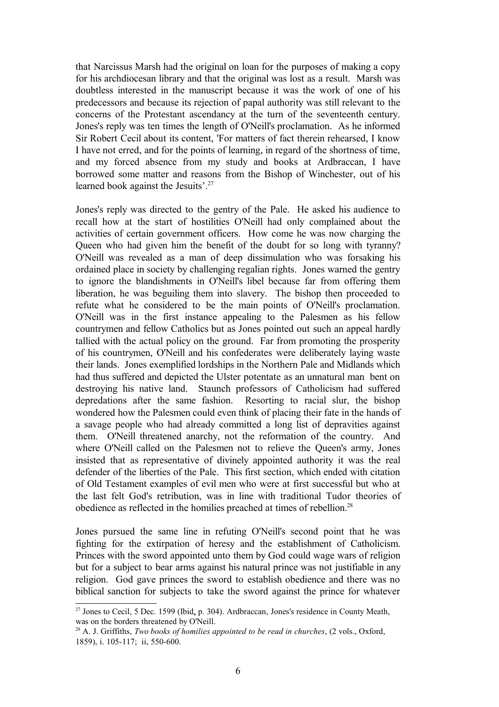that Narcissus Marsh had the original on loan for the purposes of making a copy for his archdiocesan library and that the original was lost as a result. Marsh was doubtless interested in the manuscript because it was the work of one of his predecessors and because its rejection of papal authority was still relevant to the concerns of the Protestant ascendancy at the turn of the seventeenth century. Jones's reply was ten times the length of O'Neill's proclamation. As he informed Sir Robert Cecil about its content, 'For matters of fact therein rehearsed, I know I have not erred, and for the points of learning, in regard of the shortness of time, and my forced absence from my study and books at Ardbraccan, I have borrowed some matter and reasons from the Bishop of Winchester, out of his learned book against the Jesuits'.<sup>[27](#page-5-0)</sup>

Jones's reply was directed to the gentry of the Pale. He asked his audience to recall how at the start of hostilities O'Neill had only complained about the activities of certain government officers. How come he was now charging the Queen who had given him the benefit of the doubt for so long with tyranny? O'Neill was revealed as a man of deep dissimulation who was forsaking his ordained place in society by challenging regalian rights. Jones warned the gentry to ignore the blandishments in O'Neill's libel because far from offering them liberation, he was beguiling them into slavery. The bishop then proceeded to refute what he considered to be the main points of O'Neill's proclamation. O'Neill was in the first instance appealing to the Palesmen as his fellow countrymen and fellow Catholics but as Jones pointed out such an appeal hardly tallied with the actual policy on the ground. Far from promoting the prosperity of his countrymen, O'Neill and his confederates were deliberately laying waste their lands. Jones exemplified lordships in the Northern Pale and Midlands which had thus suffered and depicted the Ulster potentate as an unnatural man bent on destroying his native land. Staunch professors of Catholicism had suffered depredations after the same fashion. Resorting to racial slur, the bishop wondered how the Palesmen could even think of placing their fate in the hands of a savage people who had already committed a long list of depravities against them. O'Neill threatened anarchy, not the reformation of the country. And where O'Neill called on the Palesmen not to relieve the Queen's army, Jones insisted that as representative of divinely appointed authority it was the real defender of the liberties of the Pale. This first section, which ended with citation of Old Testament examples of evil men who were at first successful but who at the last felt God's retribution, was in line with traditional Tudor theories of obedience as reflected in the homilies preached at times of rebellion.[28](#page-5-1)

Jones pursued the same line in refuting O'Neill's second point that he was fighting for the extirpation of heresy and the establishment of Catholicism. Princes with the sword appointed unto them by God could wage wars of religion but for a subject to bear arms against his natural prince was not justifiable in any religion. God gave princes the sword to establish obedience and there was no biblical sanction for subjects to take the sword against the prince for whatever

<span id="page-5-0"></span> $27$  Jones to Cecil, 5 Dec. 1599 (Ibid, p. 304). Ardbraccan, Jones's residence in County Meath, was on the borders threatened by O'Neill.

<span id="page-5-1"></span><sup>28</sup> A. J. Griffiths, *Two books of homilies appointed to be read in churches*, (2 vols., Oxford, 1859), i. 105-117; ii, 550-600.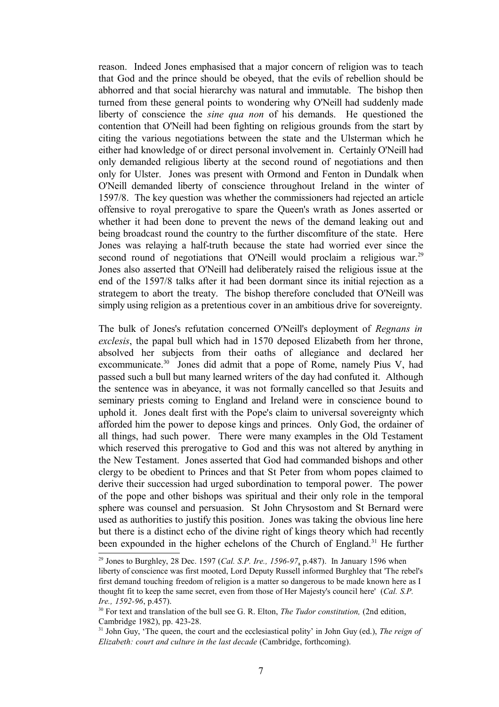reason. Indeed Jones emphasised that a major concern of religion was to teach that God and the prince should be obeyed, that the evils of rebellion should be abhorred and that social hierarchy was natural and immutable. The bishop then turned from these general points to wondering why O'Neill had suddenly made liberty of conscience the *sine qua non* of his demands. He questioned the contention that O'Neill had been fighting on religious grounds from the start by citing the various negotiations between the state and the Ulsterman which he either had knowledge of or direct personal involvement in. Certainly O'Neill had only demanded religious liberty at the second round of negotiations and then only for Ulster. Jones was present with Ormond and Fenton in Dundalk when O'Neill demanded liberty of conscience throughout Ireland in the winter of 1597/8. The key question was whether the commissioners had rejected an article offensive to royal prerogative to spare the Queen's wrath as Jones asserted or whether it had been done to prevent the news of the demand leaking out and being broadcast round the country to the further discomfiture of the state. Here Jones was relaying a half-truth because the state had worried ever since the second round of negotiations that O'Neill would proclaim a religious war.<sup>[29](#page-6-0)</sup> Jones also asserted that O'Neill had deliberately raised the religious issue at the end of the 1597/8 talks after it had been dormant since its initial rejection as a strategem to abort the treaty. The bishop therefore concluded that O'Neill was simply using religion as a pretentious cover in an ambitious drive for sovereignty.

The bulk of Jones's refutation concerned O'Neill's deployment of *Regnans in exclesis*, the papal bull which had in 1570 deposed Elizabeth from her throne, absolved her subjects from their oaths of allegiance and declared her excommunicate.[30](#page-6-1) Jones did admit that a pope of Rome, namely Pius V, had passed such a bull but many learned writers of the day had confuted it. Although the sentence was in abeyance, it was not formally cancelled so that Jesuits and seminary priests coming to England and Ireland were in conscience bound to uphold it. Jones dealt first with the Pope's claim to universal sovereignty which afforded him the power to depose kings and princes. Only God, the ordainer of all things, had such power. There were many examples in the Old Testament which reserved this prerogative to God and this was not altered by anything in the New Testament. Jones asserted that God had commanded bishops and other clergy to be obedient to Princes and that St Peter from whom popes claimed to derive their succession had urged subordination to temporal power. The power of the pope and other bishops was spiritual and their only role in the temporal sphere was counsel and persuasion. St John Chrysostom and St Bernard were used as authorities to justify this position. Jones was taking the obvious line here but there is a distinct echo of the divine right of kings theory which had recently been expounded in the higher echelons of the Church of England.<sup>[31](#page-6-2)</sup> He further

<span id="page-6-0"></span><sup>29</sup> Jones to Burghley, 28 Dec. 1597 (*Cal. S.P. Ire., 1596-97*, p.487). In January 1596 when liberty of conscience was first mooted, Lord Deputy Russell informed Burghley that 'The rebel's first demand touching freedom of religion is a matter so dangerous to be made known here as I thought fit to keep the same secret, even from those of Her Majesty's council here' (*Cal. S.P. Ire., 1592-96*, p.457).

<span id="page-6-1"></span><sup>30</sup> For text and translation of the bull see G. R. Elton, *The Tudor constitution,* (2nd edition, Cambridge 1982), pp. 423-28.

<span id="page-6-2"></span><sup>31</sup> John Guy, 'The queen, the court and the ecclesiastical polity' in John Guy (ed.), *The reign of Elizabeth: court and culture in the last decade* (Cambridge, forthcoming).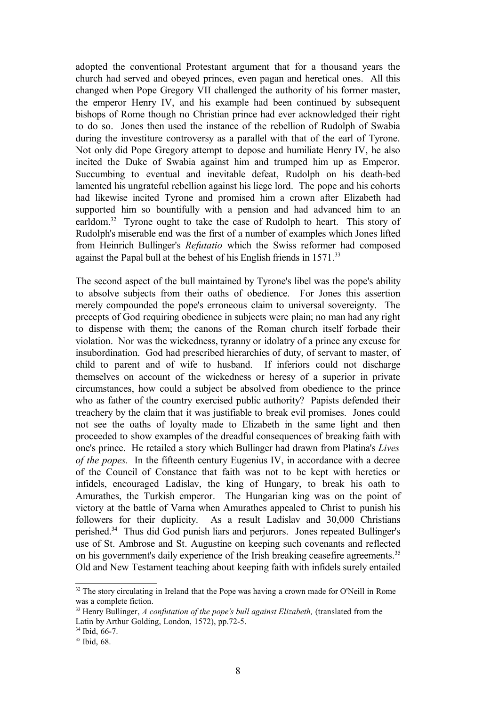adopted the conventional Protestant argument that for a thousand years the church had served and obeyed princes, even pagan and heretical ones. All this changed when Pope Gregory VII challenged the authority of his former master, the emperor Henry IV, and his example had been continued by subsequent bishops of Rome though no Christian prince had ever acknowledged their right to do so. Jones then used the instance of the rebellion of Rudolph of Swabia during the investiture controversy as a parallel with that of the earl of Tyrone. Not only did Pope Gregory attempt to depose and humiliate Henry IV, he also incited the Duke of Swabia against him and trumped him up as Emperor. Succumbing to eventual and inevitable defeat, Rudolph on his death-bed lamented his ungrateful rebellion against his liege lord. The pope and his cohorts had likewise incited Tyrone and promised him a crown after Elizabeth had supported him so bountifully with a pension and had advanced him to an earldom.<sup>[32](#page-7-0)</sup> Tyrone ought to take the case of Rudolph to heart. This story of Rudolph's miserable end was the first of a number of examples which Jones lifted from Heinrich Bullinger's *Refutatio* which the Swiss reformer had composed against the Papal bull at the behest of his English friends in 1571.<sup>[33](#page-7-1)</sup>

The second aspect of the bull maintained by Tyrone's libel was the pope's ability to absolve subjects from their oaths of obedience. For Jones this assertion merely compounded the pope's erroneous claim to universal sovereignty. The precepts of God requiring obedience in subjects were plain; no man had any right to dispense with them; the canons of the Roman church itself forbade their violation. Nor was the wickedness, tyranny or idolatry of a prince any excuse for insubordination. God had prescribed hierarchies of duty, of servant to master, of child to parent and of wife to husband. If inferiors could not discharge themselves on account of the wickedness or heresy of a superior in private circumstances, how could a subject be absolved from obedience to the prince who as father of the country exercised public authority? Papists defended their treachery by the claim that it was justifiable to break evil promises. Jones could not see the oaths of loyalty made to Elizabeth in the same light and then proceeded to show examples of the dreadful consequences of breaking faith with one's prince. He retailed a story which Bullinger had drawn from Platina's *Lives of the popes.* In the fifteenth century Eugenius IV, in accordance with a decree of the Council of Constance that faith was not to be kept with heretics or infidels, encouraged Ladislav, the king of Hungary, to break his oath to Amurathes, the Turkish emperor. The Hungarian king was on the point of victory at the battle of Varna when Amurathes appealed to Christ to punish his followers for their duplicity. As a result Ladislav and 30,000 Christians perished.[34](#page-7-2) Thus did God punish liars and perjurors. Jones repeated Bullinger's use of St. Ambrose and St. Augustine on keeping such covenants and reflected on his government's daily experience of the Irish breaking ceasefire agreements.<sup>[35](#page-7-3)</sup> Old and New Testament teaching about keeping faith with infidels surely entailed

<span id="page-7-0"></span><sup>&</sup>lt;sup>32</sup> The story circulating in Ireland that the Pope was having a crown made for O'Neill in Rome was a complete fiction.

<span id="page-7-1"></span><sup>33</sup> Henry Bullinger, *A confutation of the pope's bull against Elizabeth,* (translated from the Latin by Arthur Golding, London, 1572), pp.72-5.

<span id="page-7-2"></span><sup>34</sup> Ibid, 66-7.

<span id="page-7-3"></span><sup>35</sup> Ibid, 68.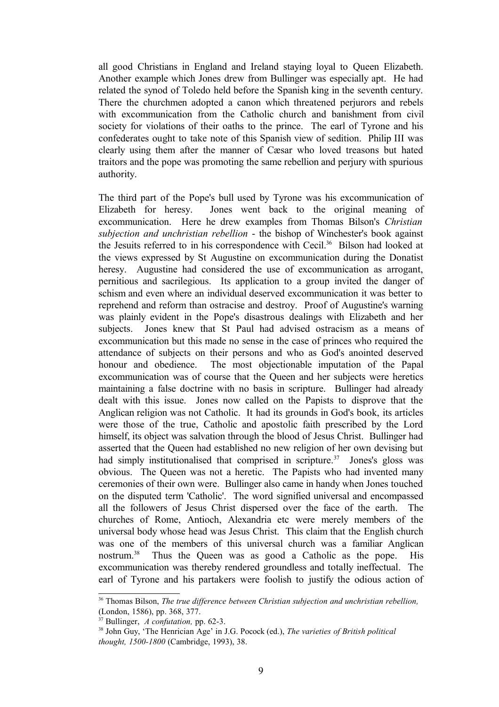all good Christians in England and Ireland staying loyal to Queen Elizabeth. Another example which Jones drew from Bullinger was especially apt. He had related the synod of Toledo held before the Spanish king in the seventh century. There the churchmen adopted a canon which threatened perjurors and rebels with excommunication from the Catholic church and banishment from civil society for violations of their oaths to the prince. The earl of Tyrone and his confederates ought to take note of this Spanish view of sedition. Philip III was clearly using them after the manner of Cæsar who loved treasons but hated traitors and the pope was promoting the same rebellion and perjury with spurious authority.

The third part of the Pope's bull used by Tyrone was his excommunication of Elizabeth for heresy. Jones went back to the original meaning of excommunication. Here he drew examples from Thomas Bilson's *Christian subjection and unchristian rebellion* - the bishop of Winchester's book against the Jesuits referred to in his correspondence with Cecil.<sup>[36](#page-8-0)</sup> Bilson had looked at the views expressed by St Augustine on excommunication during the Donatist heresy. Augustine had considered the use of excommunication as arrogant, pernitious and sacrilegious. Its application to a group invited the danger of schism and even where an individual deserved excommunication it was better to reprehend and reform than ostracise and destroy. Proof of Augustine's warning was plainly evident in the Pope's disastrous dealings with Elizabeth and her subjects. Jones knew that St Paul had advised ostracism as a means of excommunication but this made no sense in the case of princes who required the attendance of subjects on their persons and who as God's anointed deserved honour and obedience. The most objectionable imputation of the Papal excommunication was of course that the Queen and her subjects were heretics maintaining a false doctrine with no basis in scripture. Bullinger had already dealt with this issue. Jones now called on the Papists to disprove that the Anglican religion was not Catholic. It had its grounds in God's book, its articles were those of the true, Catholic and apostolic faith prescribed by the Lord himself, its object was salvation through the blood of Jesus Christ. Bullinger had asserted that the Queen had established no new religion of her own devising but had simply institutionalised that comprised in scripture.<sup>[37](#page-8-1)</sup> Jones's gloss was obvious. The Queen was not a heretic. The Papists who had invented many ceremonies of their own were. Bullinger also came in handy when Jones touched on the disputed term 'Catholic'. The word signified universal and encompassed all the followers of Jesus Christ dispersed over the face of the earth. The churches of Rome, Antioch, Alexandria etc were merely members of the universal body whose head was Jesus Christ. This claim that the English church was one of the members of this universal church was a familiar Anglican nostrum.<sup>[38](#page-8-2)</sup> Thus the Queen was as good a Catholic as the pope. His excommunication was thereby rendered groundless and totally ineffectual. The earl of Tyrone and his partakers were foolish to justify the odious action of

<span id="page-8-0"></span><sup>36</sup> Thomas Bilson, *The true difference between Christian subjection and unchristian rebellion,* (London, 1586), pp. 368, 377.

<span id="page-8-1"></span><sup>37</sup> Bullinger, *A confutation,* pp. 62-3.

<span id="page-8-2"></span><sup>38</sup> John Guy, 'The Henrician Age' in J.G. Pocock (ed.), *The varieties of British political thought, 1500-1800* (Cambridge, 1993), 38.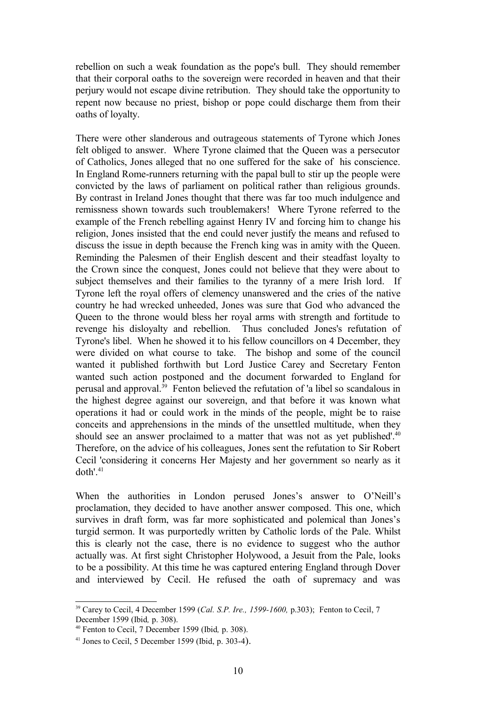rebellion on such a weak foundation as the pope's bull. They should remember that their corporal oaths to the sovereign were recorded in heaven and that their perjury would not escape divine retribution. They should take the opportunity to repent now because no priest, bishop or pope could discharge them from their oaths of loyalty.

There were other slanderous and outrageous statements of Tyrone which Jones felt obliged to answer. Where Tyrone claimed that the Queen was a persecutor of Catholics, Jones alleged that no one suffered for the sake of his conscience. In England Rome-runners returning with the papal bull to stir up the people were convicted by the laws of parliament on political rather than religious grounds. By contrast in Ireland Jones thought that there was far too much indulgence and remissness shown towards such troublemakers! Where Tyrone referred to the example of the French rebelling against Henry IV and forcing him to change his religion, Jones insisted that the end could never justify the means and refused to discuss the issue in depth because the French king was in amity with the Queen. Reminding the Palesmen of their English descent and their steadfast loyalty to the Crown since the conquest, Jones could not believe that they were about to subject themselves and their families to the tyranny of a mere Irish lord. If Tyrone left the royal offers of clemency unanswered and the cries of the native country he had wrecked unheeded, Jones was sure that God who advanced the Queen to the throne would bless her royal arms with strength and fortitude to revenge his disloyalty and rebellion. Thus concluded Jones's refutation of Tyrone's libel. When he showed it to his fellow councillors on 4 December, they were divided on what course to take. The bishop and some of the council wanted it published forthwith but Lord Justice Carey and Secretary Fenton wanted such action postponed and the document forwarded to England for perusal and approval.[39](#page-9-0) Fenton believed the refutation of 'a libel so scandalous in the highest degree against our sovereign, and that before it was known what operations it had or could work in the minds of the people, might be to raise conceits and apprehensions in the minds of the unsettled multitude, when they should see an answer proclaimed to a matter that was not as yet published'.<sup>[40](#page-9-1)</sup> Therefore, on the advice of his colleagues, Jones sent the refutation to Sir Robert Cecil 'considering it concerns Her Majesty and her government so nearly as it doth'.<sup>[41](#page-9-2)</sup>

When the authorities in London perused Jones's answer to O'Neill's proclamation, they decided to have another answer composed. This one, which survives in draft form, was far more sophisticated and polemical than Jones's turgid sermon. It was purportedly written by Catholic lords of the Pale. Whilst this is clearly not the case, there is no evidence to suggest who the author actually was. At first sight Christopher Holywood, a Jesuit from the Pale, looks to be a possibility. At this time he was captured entering England through Dover and interviewed by Cecil. He refused the oath of supremacy and was

<span id="page-9-0"></span><sup>39</sup> Carey to Cecil, 4 December 1599 (*Cal. S.P. Ire., 1599-1600,* p.303); Fenton to Cecil, 7 December 1599 (Ibid*,* p. 308).

<span id="page-9-1"></span><sup>40</sup> Fenton to Cecil, 7 December 1599 (Ibid*,* p. 308).

<span id="page-9-2"></span> $41$  Jones to Cecil, 5 December 1599 (Ibid, p. 303-4).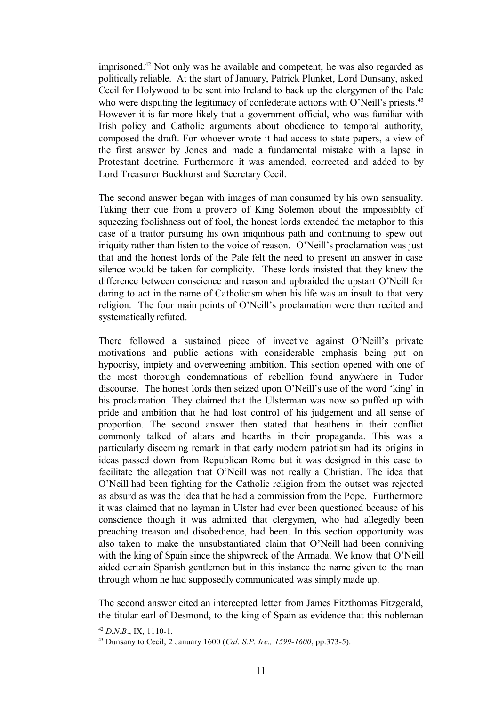imprisoned.[42](#page-10-0) Not only was he available and competent, he was also regarded as politically reliable. At the start of January, Patrick Plunket, Lord Dunsany, asked Cecil for Holywood to be sent into Ireland to back up the clergymen of the Pale who were disputing the legitimacy of confederate actions with O'Neill's priests.<sup>[43](#page-10-1)</sup> However it is far more likely that a government official, who was familiar with Irish policy and Catholic arguments about obedience to temporal authority, composed the draft. For whoever wrote it had access to state papers, a view of the first answer by Jones and made a fundamental mistake with a lapse in Protestant doctrine. Furthermore it was amended, corrected and added to by Lord Treasurer Buckhurst and Secretary Cecil.

The second answer began with images of man consumed by his own sensuality. Taking their cue from a proverb of King Solemon about the impossiblity of squeezing foolishness out of fool, the honest lords extended the metaphor to this case of a traitor pursuing his own iniquitious path and continuing to spew out iniquity rather than listen to the voice of reason. O'Neill's proclamation was just that and the honest lords of the Pale felt the need to present an answer in case silence would be taken for complicity. These lords insisted that they knew the difference between conscience and reason and upbraided the upstart O'Neill for daring to act in the name of Catholicism when his life was an insult to that very religion. The four main points of O'Neill's proclamation were then recited and systematically refuted.

There followed a sustained piece of invective against O'Neill's private motivations and public actions with considerable emphasis being put on hypocrisy, impiety and overweening ambition. This section opened with one of the most thorough condemnations of rebellion found anywhere in Tudor discourse. The honest lords then seized upon O'Neill's use of the word 'king' in his proclamation. They claimed that the Ulsterman was now so puffed up with pride and ambition that he had lost control of his judgement and all sense of proportion. The second answer then stated that heathens in their conflict commonly talked of altars and hearths in their propaganda. This was a particularly discerning remark in that early modern patriotism had its origins in ideas passed down from Republican Rome but it was designed in this case to facilitate the allegation that O'Neill was not really a Christian. The idea that O'Neill had been fighting for the Catholic religion from the outset was rejected as absurd as was the idea that he had a commission from the Pope. Furthermore it was claimed that no layman in Ulster had ever been questioned because of his conscience though it was admitted that clergymen, who had allegedly been preaching treason and disobedience, had been. In this section opportunity was also taken to make the unsubstantiated claim that O'Neill had been conniving with the king of Spain since the shipwreck of the Armada. We know that O'Neill aided certain Spanish gentlemen but in this instance the name given to the man through whom he had supposedly communicated was simply made up.

The second answer cited an intercepted letter from James Fitzthomas Fitzgerald, the titular earl of Desmond, to the king of Spain as evidence that this nobleman

<span id="page-10-0"></span> $42$  *D.N.B.* IX, 1110-1.

<span id="page-10-1"></span><sup>43</sup> Dunsany to Cecil, 2 January 1600 (*Cal. S.P. Ire., 1599-1600*, pp.373-5).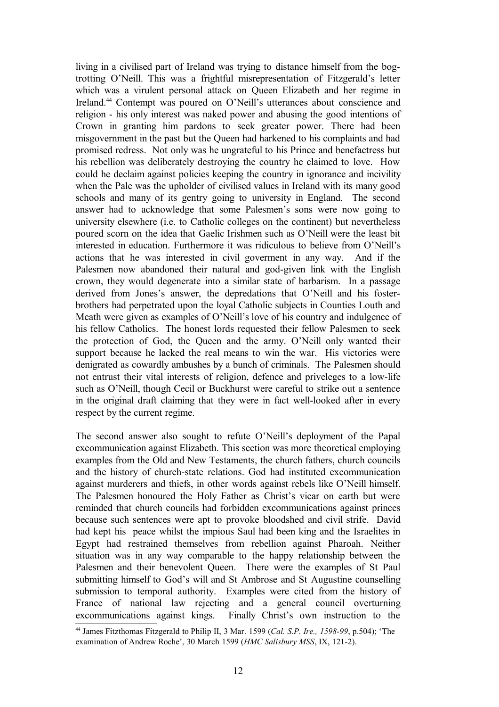living in a civilised part of Ireland was trying to distance himself from the bogtrotting O'Neill. This was a frightful misrepresentation of Fitzgerald's letter which was a virulent personal attack on Queen Elizabeth and her regime in Ireland.[44](#page-11-0) Contempt was poured on O'Neill's utterances about conscience and religion - his only interest was naked power and abusing the good intentions of Crown in granting him pardons to seek greater power. There had been misgovernment in the past but the Queen had harkened to his complaints and had promised redress. Not only was he ungrateful to his Prince and benefactress but his rebellion was deliberately destroying the country he claimed to love. How could he declaim against policies keeping the country in ignorance and incivility when the Pale was the upholder of civilised values in Ireland with its many good schools and many of its gentry going to university in England. The second answer had to acknowledge that some Palesmen's sons were now going to university elsewhere (i.e. to Catholic colleges on the continent) but nevertheless poured scorn on the idea that Gaelic Irishmen such as O'Neill were the least bit interested in education. Furthermore it was ridiculous to believe from O'Neill's actions that he was interested in civil goverment in any way. And if the Palesmen now abandoned their natural and god-given link with the English crown, they would degenerate into a similar state of barbarism. In a passage derived from Jones's answer, the depredations that O'Neill and his fosterbrothers had perpetrated upon the loyal Catholic subjects in Counties Louth and Meath were given as examples of O'Neill's love of his country and indulgence of his fellow Catholics. The honest lords requested their fellow Palesmen to seek the protection of God, the Queen and the army. O'Neill only wanted their support because he lacked the real means to win the war. His victories were denigrated as cowardly ambushes by a bunch of criminals. The Palesmen should not entrust their vital interests of religion, defence and priveleges to a low-life such as O'Neill, though Cecil or Buckhurst were careful to strike out a sentence in the original draft claiming that they were in fact well-looked after in every respect by the current regime.

The second answer also sought to refute O'Neill's deployment of the Papal excommunication against Elizabeth. This section was more theoretical employing examples from the Old and New Testaments, the church fathers, church councils and the history of church-state relations. God had instituted excommunication against murderers and thiefs, in other words against rebels like O'Neill himself. The Palesmen honoured the Holy Father as Christ's vicar on earth but were reminded that church councils had forbidden excommunications against princes because such sentences were apt to provoke bloodshed and civil strife. David had kept his peace whilst the impious Saul had been king and the Israelites in Egypt had restrained themselves from rebellion against Pharoah. Neither situation was in any way comparable to the happy relationship between the Palesmen and their benevolent Queen. There were the examples of St Paul submitting himself to God's will and St Ambrose and St Augustine counselling submission to temporal authority. Examples were cited from the history of France of national law rejecting and a general council overturning excommunications against kings. Finally Christ's own instruction to the

<span id="page-11-0"></span><sup>44</sup> James Fitzthomas Fitzgerald to Philip II, 3 Mar. 1599 (*Cal. S.P. Ire., 1598-99*, p.504); 'The examination of Andrew Roche', 30 March 1599 (*HMC Salisbury MSS*, IX, 121-2).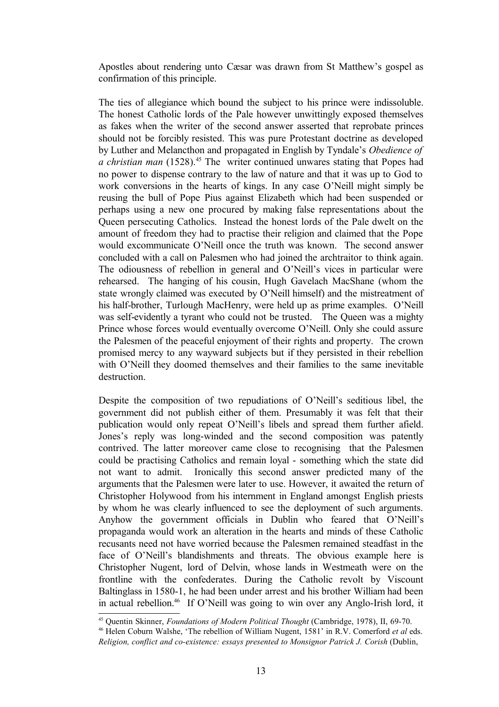Apostles about rendering unto Cæsar was drawn from St Matthew's gospel as confirmation of this principle.

The ties of allegiance which bound the subject to his prince were indissoluble. The honest Catholic lords of the Pale however unwittingly exposed themselves as fakes when the writer of the second answer asserted that reprobate princes should not be forcibly resisted. This was pure Protestant doctrine as developed by Luther and Melancthon and propagated in English by Tyndale's *Obedience of a christian man* (1528).[45](#page-12-0) The writer continued unwares stating that Popes had no power to dispense contrary to the law of nature and that it was up to God to work conversions in the hearts of kings. In any case O'Neill might simply be reusing the bull of Pope Pius against Elizabeth which had been suspended or perhaps using a new one procured by making false representations about the Queen persecuting Catholics. Instead the honest lords of the Pale dwelt on the amount of freedom they had to practise their religion and claimed that the Pope would excommunicate O'Neill once the truth was known. The second answer concluded with a call on Palesmen who had joined the archtraitor to think again. The odiousness of rebellion in general and O'Neill's vices in particular were rehearsed. The hanging of his cousin, Hugh Gavelach MacShane (whom the state wrongly claimed was executed by O'Neill himself) and the mistreatment of his half-brother, Turlough MacHenry, were held up as prime examples. O'Neill was self-evidently a tyrant who could not be trusted. The Queen was a mighty Prince whose forces would eventually overcome O'Neill. Only she could assure the Palesmen of the peaceful enjoyment of their rights and property. The crown promised mercy to any wayward subjects but if they persisted in their rebellion with O'Neill they doomed themselves and their families to the same inevitable destruction.

Despite the composition of two repudiations of O'Neill's seditious libel, the government did not publish either of them. Presumably it was felt that their publication would only repeat O'Neill's libels and spread them further afield. Jones's reply was long-winded and the second composition was patently contrived. The latter moreover came close to recognising that the Palesmen could be practising Catholics and remain loyal - something which the state did not want to admit. Ironically this second answer predicted many of the arguments that the Palesmen were later to use. However, it awaited the return of Christopher Holywood from his internment in England amongst English priests by whom he was clearly influenced to see the deployment of such arguments. Anyhow the government officials in Dublin who feared that O'Neill's propaganda would work an alteration in the hearts and minds of these Catholic recusants need not have worried because the Palesmen remained steadfast in the face of O'Neill's blandishments and threats. The obvious example here is Christopher Nugent, lord of Delvin, whose lands in Westmeath were on the frontline with the confederates. During the Catholic revolt by Viscount Baltinglass in 1580-1, he had been under arrest and his brother William had been in actual rebellion.[46](#page-12-1) If O'Neill was going to win over any Anglo-Irish lord, it

<span id="page-12-0"></span><sup>45</sup> Quentin Skinner, *Foundations of Modern Political Thought* (Cambridge, 1978), II, 69-70.

<span id="page-12-1"></span><sup>46</sup> Helen Coburn Walshe, 'The rebellion of William Nugent, 1581' in R.V. Comerford *et al* eds. *Religion, conflict and co-existence: essays presented to Monsignor Patrick J. Corish* (Dublin,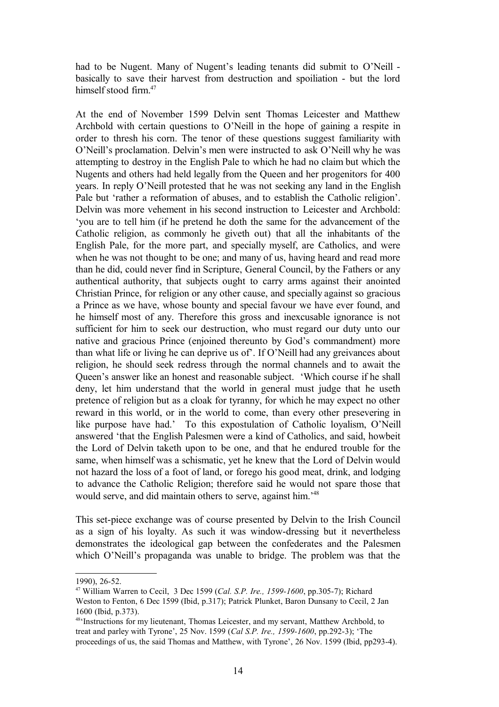had to be Nugent. Many of Nugent's leading tenants did submit to O'Neill basically to save their harvest from destruction and spoiliation - but the lord himself stood firm  $47$ 

At the end of November 1599 Delvin sent Thomas Leicester and Matthew Archbold with certain questions to O'Neill in the hope of gaining a respite in order to thresh his corn. The tenor of these questions suggest familiarity with O'Neill's proclamation. Delvin's men were instructed to ask O'Neill why he was attempting to destroy in the English Pale to which he had no claim but which the Nugents and others had held legally from the Queen and her progenitors for 400 years. In reply O'Neill protested that he was not seeking any land in the English Pale but 'rather a reformation of abuses, and to establish the Catholic religion'. Delvin was more vehement in his second instruction to Leicester and Archbold: 'you are to tell him (if he pretend he doth the same for the advancement of the Catholic religion, as commonly he giveth out) that all the inhabitants of the English Pale, for the more part, and specially myself, are Catholics, and were when he was not thought to be one; and many of us, having heard and read more than he did, could never find in Scripture, General Council, by the Fathers or any authentical authority, that subjects ought to carry arms against their anointed Christian Prince, for religion or any other cause, and specially against so gracious a Prince as we have, whose bounty and special favour we have ever found, and he himself most of any. Therefore this gross and inexcusable ignorance is not sufficient for him to seek our destruction, who must regard our duty unto our native and gracious Prince (enjoined thereunto by God's commandment) more than what life or living he can deprive us of'. If O'Neill had any greivances about religion, he should seek redress through the normal channels and to await the Queen's answer like an honest and reasonable subject. 'Which course if he shall deny, let him understand that the world in general must judge that he useth pretence of religion but as a cloak for tyranny, for which he may expect no other reward in this world, or in the world to come, than every other presevering in like purpose have had.' To this expostulation of Catholic loyalism, O'Neill answered 'that the English Palesmen were a kind of Catholics, and said, howbeit the Lord of Delvin taketh upon to be one, and that he endured trouble for the same, when himself was a schismatic, yet he knew that the Lord of Delvin would not hazard the loss of a foot of land, or forego his good meat, drink, and lodging to advance the Catholic Religion; therefore said he would not spare those that would serve, and did maintain others to serve, against him.'[48](#page-13-1)

This set-piece exchange was of course presented by Delvin to the Irish Council as a sign of his loyalty. As such it was window-dressing but it nevertheless demonstrates the ideological gap between the confederates and the Palesmen which O'Neill's propaganda was unable to bridge. The problem was that the

<sup>1990), 26-52.</sup>

<span id="page-13-0"></span><sup>47</sup> William Warren to Cecil, 3 Dec 1599 (*Cal. S.P. Ire., 1599-1600*, pp.305-7); Richard Weston to Fenton, 6 Dec 1599 (Ibid, p.317); Patrick Plunket, Baron Dunsany to Cecil, 2 Jan 1600 (Ibid, p.373).

<span id="page-13-1"></span><sup>48</sup>'Instructions for my lieutenant, Thomas Leicester, and my servant, Matthew Archbold, to treat and parley with Tyrone', 25 Nov. 1599 (*Cal S.P. Ire., 1599-1600*, pp.292-3); 'The proceedings of us, the said Thomas and Matthew, with Tyrone', 26 Nov. 1599 (Ibid, pp293-4).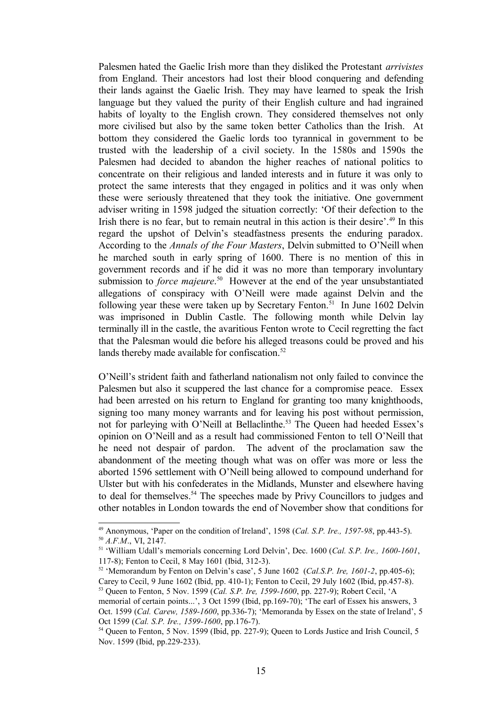Palesmen hated the Gaelic Irish more than they disliked the Protestant *arrivistes* from England. Their ancestors had lost their blood conquering and defending their lands against the Gaelic Irish. They may have learned to speak the Irish language but they valued the purity of their English culture and had ingrained habits of loyalty to the English crown. They considered themselves not only more civilised but also by the same token better Catholics than the Irish. At bottom they considered the Gaelic lords too tyrannical in government to be trusted with the leadership of a civil society. In the 1580s and 1590s the Palesmen had decided to abandon the higher reaches of national politics to concentrate on their religious and landed interests and in future it was only to protect the same interests that they engaged in politics and it was only when these were seriously threatened that they took the initiative. One government adviser writing in 1598 judged the situation correctly: 'Of their defection to the Irish there is no fear, but to remain neutral in this action is their desire'.<sup>[49](#page-14-0)</sup> In this regard the upshot of Delvin's steadfastness presents the enduring paradox. According to the *Annals of the Four Masters*, Delvin submitted to O'Neill when he marched south in early spring of 1600. There is no mention of this in government records and if he did it was no more than temporary involuntary submission to *force majeure*. [50](#page-14-1) However at the end of the year unsubstantiated allegations of conspiracy with O'Neill were made against Delvin and the following year these were taken up by Secretary Fenton.<sup>[51](#page-14-2)</sup> In June 1602 Delvin was imprisoned in Dublin Castle. The following month while Delvin lay terminally ill in the castle, the avaritious Fenton wrote to Cecil regretting the fact that the Palesman would die before his alleged treasons could be proved and his lands thereby made available for confiscation.<sup>[52](#page-14-3)</sup>

O'Neill's strident faith and fatherland nationalism not only failed to convince the Palesmen but also it scuppered the last chance for a compromise peace. Essex had been arrested on his return to England for granting too many knighthoods, signing too many money warrants and for leaving his post without permission, not for parleying with O'Neill at Bellaclinthe.<sup>[53](#page-14-4)</sup> The Queen had heeded Essex's opinion on O'Neill and as a result had commissioned Fenton to tell O'Neill that he need not despair of pardon. The advent of the proclamation saw the abandonment of the meeting though what was on offer was more or less the aborted 1596 settlement with O'Neill being allowed to compound underhand for Ulster but with his confederates in the Midlands, Munster and elsewhere having to deal for themselves.<sup>[54](#page-14-5)</sup> The speeches made by Privy Councillors to judges and other notables in London towards the end of November show that conditions for

<span id="page-14-1"></span><span id="page-14-0"></span><sup>49</sup> Anonymous, 'Paper on the condition of Ireland', 1598 (*Cal. S.P. Ire., 1597-98*, pp.443-5). <sup>50</sup> *A.F.M*., VI, 2147.

<span id="page-14-2"></span><sup>51</sup> 'William Udall's memorials concerning Lord Delvin', Dec. 1600 (*Cal. S.P. Ire., 1600-1601*, 117-8); Fenton to Cecil, 8 May 1601 (Ibid, 312-3).

<span id="page-14-3"></span><sup>52</sup> 'Memorandum by Fenton on Delvin's case', 5 June 1602 (*Cal.S.P. Ire, 1601-2*, pp.405-6); Carey to Cecil, 9 June 1602 (Ibid, pp. 410-1); Fenton to Cecil, 29 July 1602 (Ibid, pp.457-8).

<span id="page-14-4"></span><sup>53</sup> Queen to Fenton, 5 Nov. 1599 (*Cal. S.P. Ire, 1599-1600*, pp. 227-9); Robert Cecil, 'A

memorial of certain points...', 3 Oct 1599 (Ibid, pp.169-70); 'The earl of Essex his answers, 3 Oct. 1599 (*Cal. Carew, 1589-1600*, pp.336-7); 'Memoranda by Essex on the state of Ireland', 5 Oct 1599 (*Cal. S.P. Ire., 1599-1600*, pp.176-7).

<span id="page-14-5"></span><sup>&</sup>lt;sup>54</sup> Queen to Fenton, 5 Nov. 1599 (Ibid, pp. 227-9); Queen to Lords Justice and Irish Council, 5 Nov. 1599 (Ibid, pp.229-233).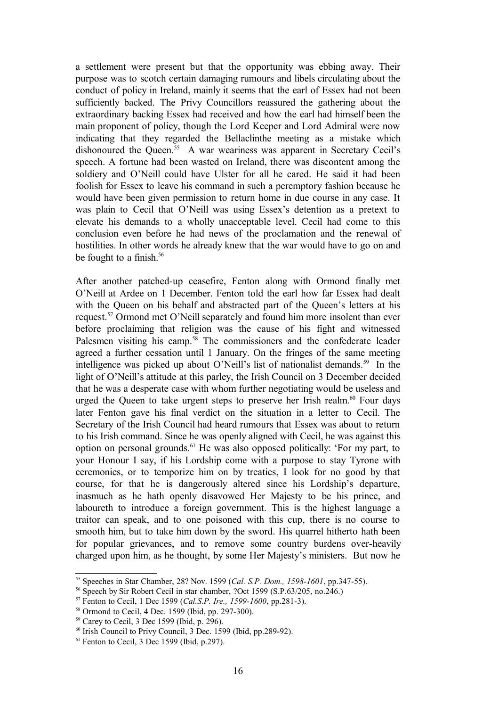a settlement were present but that the opportunity was ebbing away. Their purpose was to scotch certain damaging rumours and libels circulating about the conduct of policy in Ireland, mainly it seems that the earl of Essex had not been sufficiently backed. The Privy Councillors reassured the gathering about the extraordinary backing Essex had received and how the earl had himself been the main proponent of policy, though the Lord Keeper and Lord Admiral were now indicating that they regarded the Bellaclinthe meeting as a mistake which dishonoured the Queen.<sup>[55](#page-15-0)</sup> A war weariness was apparent in Secretary Cecil's speech. A fortune had been wasted on Ireland, there was discontent among the soldiery and O'Neill could have Ulster for all he cared. He said it had been foolish for Essex to leave his command in such a peremptory fashion because he would have been given permission to return home in due course in any case. It was plain to Cecil that O'Neill was using Essex's detention as a pretext to elevate his demands to a wholly unacceptable level. Cecil had come to this conclusion even before he had news of the proclamation and the renewal of hostilities. In other words he already knew that the war would have to go on and be fought to a finish.<sup>[56](#page-15-1)</sup>

After another patched-up ceasefire, Fenton along with Ormond finally met O'Neill at Ardee on 1 December. Fenton told the earl how far Essex had dealt with the Queen on his behalf and abstracted part of the Queen's letters at his request.[57](#page-15-2) Ormond met O'Neill separately and found him more insolent than ever before proclaiming that religion was the cause of his fight and witnessed Palesmen visiting his camp.<sup>[58](#page-15-3)</sup> The commissioners and the confederate leader agreed a further cessation until 1 January. On the fringes of the same meeting intelligence was picked up about O'Neill's list of nationalist demands.<sup>[59](#page-15-4)</sup> In the light of O'Neill's attitude at this parley, the Irish Council on 3 December decided that he was a desperate case with whom further negotiating would be useless and urged the Queen to take urgent steps to preserve her Irish realm.<sup>[60](#page-15-5)</sup> Four days later Fenton gave his final verdict on the situation in a letter to Cecil. The Secretary of the Irish Council had heard rumours that Essex was about to return to his Irish command. Since he was openly aligned with Cecil, he was against this option on personal grounds.[61](#page-15-6) He was also opposed politically: 'For my part, to your Honour I say, if his Lordship come with a purpose to stay Tyrone with ceremonies, or to temporize him on by treaties, I look for no good by that course, for that he is dangerously altered since his Lordship's departure, inasmuch as he hath openly disavowed Her Majesty to be his prince, and laboureth to introduce a foreign government. This is the highest language a traitor can speak, and to one poisoned with this cup, there is no course to smooth him, but to take him down by the sword. His quarrel hitherto hath been for popular grievances, and to remove some country burdens over-heavily charged upon him, as he thought, by some Her Majesty's ministers. But now he

<span id="page-15-0"></span><sup>55</sup> Speeches in Star Chamber, 28? Nov. 1599 (*Cal. S.P. Dom., 1598-1601*, pp.347-55).

<span id="page-15-1"></span><sup>56</sup> Speech by Sir Robert Cecil in star chamber, ?Oct 1599 (S.P.63/205, no.246.)

<span id="page-15-2"></span><sup>57</sup> Fenton to Cecil, 1 Dec 1599 (*Cal.S.P. Ire., 1599-1600*, pp.281-3).

<span id="page-15-3"></span><sup>58</sup> Ormond to Cecil, 4 Dec. 1599 (Ibid, pp. 297-300).

<span id="page-15-4"></span><sup>59</sup> Carey to Cecil, 3 Dec 1599 (Ibid, p. 296).

<span id="page-15-5"></span> $60$  Irish Council to Privy Council, 3 Dec. 1599 (Ibid, pp.289-92).

<span id="page-15-6"></span> $61$  Fenton to Cecil, 3 Dec 1599 (Ibid, p.297).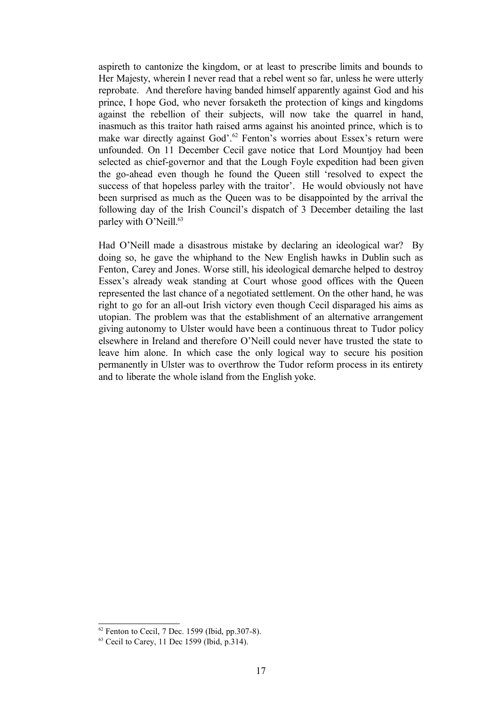aspireth to cantonize the kingdom, or at least to prescribe limits and bounds to Her Majesty, wherein I never read that a rebel went so far, unless he were utterly reprobate. And therefore having banded himself apparently against God and his prince, I hope God, who never forsaketh the protection of kings and kingdoms against the rebellion of their subjects, will now take the quarrel in hand, inasmuch as this traitor hath raised arms against his anointed prince, which is to make war directly against God'.[62](#page-16-0) Fenton's worries about Essex's return were unfounded. On 11 December Cecil gave notice that Lord Mountjoy had been selected as chief-governor and that the Lough Foyle expedition had been given the go-ahead even though he found the Queen still 'resolved to expect the success of that hopeless parley with the traitor'. He would obviously not have been surprised as much as the Queen was to be disappointed by the arrival the following day of the Irish Council's dispatch of 3 December detailing the last parley with O'Neill.<sup>[63](#page-16-1)</sup>

Had O'Neill made a disastrous mistake by declaring an ideological war? By doing so, he gave the whiphand to the New English hawks in Dublin such as Fenton, Carey and Jones. Worse still, his ideological demarche helped to destroy Essex's already weak standing at Court whose good offices with the Queen represented the last chance of a negotiated settlement. On the other hand, he was right to go for an all-out Irish victory even though Cecil disparaged his aims as utopian. The problem was that the establishment of an alternative arrangement giving autonomy to Ulster would have been a continuous threat to Tudor policy elsewhere in Ireland and therefore O'Neill could never have trusted the state to leave him alone. In which case the only logical way to secure his position permanently in Ulster was to overthrow the Tudor reform process in its entirety and to liberate the whole island from the English yoke.

<span id="page-16-0"></span> $62$  Fenton to Cecil, 7 Dec. 1599 (Ibid, pp.307-8).

<span id="page-16-1"></span><sup>63</sup> Cecil to Carey, 11 Dec 1599 (Ibid, p.314).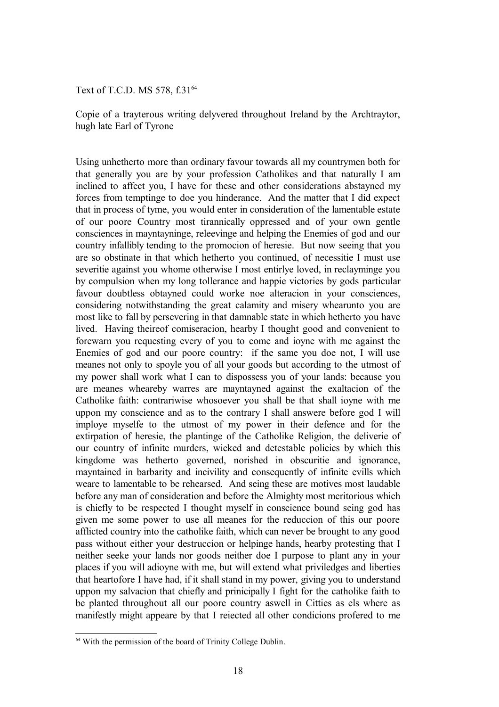Text of T.C.D. MS 578, f.31<sup>[64](#page-17-0)</sup>

Copie of a trayterous writing delyvered throughout Ireland by the Archtraytor, hugh late Earl of Tyrone

Using unhetherto more than ordinary favour towards all my countrymen both for that generally you are by your profession Catholikes and that naturally I am inclined to affect you, I have for these and other considerations abstayned my forces from temptinge to doe you hinderance. And the matter that I did expect that in process of tyme, you would enter in consideration of the lamentable estate of our poore Country most tirannically oppressed and of your own gentle consciences in mayntayninge, releevinge and helping the Enemies of god and our country infallibly tending to the promocion of heresie. But now seeing that you are so obstinate in that which hetherto you continued, of necessitie I must use severitie against you whome otherwise I most entirlye loved, in reclayminge you by compulsion when my long tollerance and happie victories by gods particular favour doubtless obtayned could worke noe alteracion in your consciences, considering notwithstanding the great calamity and misery whearunto you are most like to fall by persevering in that damnable state in which hetherto you have lived. Having theireof comiseracion, hearby I thought good and convenient to forewarn you requesting every of you to come and ioyne with me against the Enemies of god and our poore country: if the same you doe not, I will use meanes not only to spoyle you of all your goods but according to the utmost of my power shall work what I can to dispossess you of your lands: because you are meanes wheareby warres are mayntayned against the exaltacion of the Catholike faith: contrariwise whosoever you shall be that shall ioyne with me uppon my conscience and as to the contrary I shall answere before god I will imploye myselfe to the utmost of my power in their defence and for the extirpation of heresie, the plantinge of the Catholike Religion, the deliverie of our country of infinite murders, wicked and detestable policies by which this kingdome was hetherto governed, norished in obscuritie and ignorance, mayntained in barbarity and incivility and consequently of infinite evills which weare to lamentable to be rehearsed. And seing these are motives most laudable before any man of consideration and before the Almighty most meritorious which is chiefly to be respected I thought myself in conscience bound seing god has given me some power to use all meanes for the reduccion of this our poore afflicted country into the catholike faith, which can never be brought to any good pass without either your destruccion or helpinge hands, hearby protesting that I neither seeke your lands nor goods neither doe I purpose to plant any in your places if you will adioyne with me, but will extend what priviledges and liberties that heartofore I have had, if it shall stand in my power, giving you to understand uppon my salvacion that chiefly and prinicipally I fight for the catholike faith to be planted throughout all our poore country aswell in Citties as els where as manifestly might appeare by that I reiected all other condicions profered to me

<span id="page-17-0"></span><sup>&</sup>lt;sup>64</sup> With the permission of the board of Trinity College Dublin.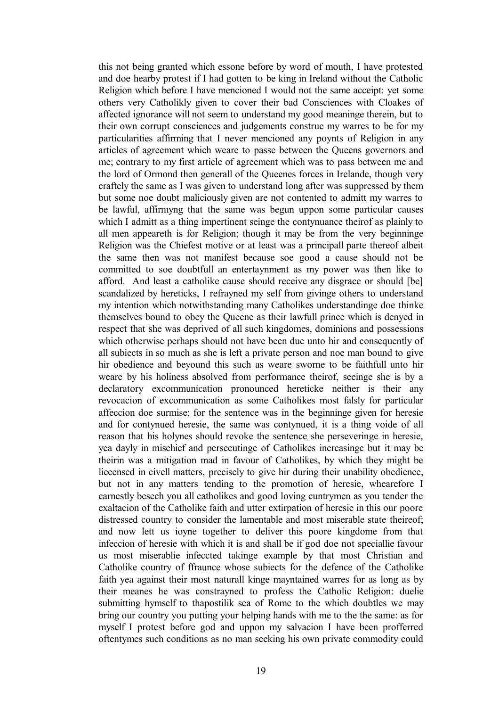this not being granted which essone before by word of mouth, I have protested and doe hearby protest if I had gotten to be king in Ireland without the Catholic Religion which before I have mencioned I would not the same acceipt: yet some others very Catholikly given to cover their bad Consciences with Cloakes of affected ignorance will not seem to understand my good meaninge therein, but to their own corrupt consciences and judgements construe my warres to be for my particularities affirming that I never mencioned any poynts of Religion in any articles of agreement which weare to passe between the Queens governors and me; contrary to my first article of agreement which was to pass between me and the lord of Ormond then generall of the Queenes forces in Irelande, though very craftely the same as I was given to understand long after was suppressed by them but some noe doubt maliciously given are not contented to admitt my warres to be lawful, affirmyng that the same was begun uppon some particular causes which I admitt as a thing impertinent seinge the contynuance theirof as plainly to all men appeareth is for Religion; though it may be from the very beginninge Religion was the Chiefest motive or at least was a principall parte thereof albeit the same then was not manifest because soe good a cause should not be committed to soe doubtfull an entertaynment as my power was then like to afford. And least a catholike cause should receive any disgrace or should [be] scandalized by hereticks, I refrayned my self from givinge others to understand my intention which notwithstanding many Catholikes understandinge doe thinke themselves bound to obey the Queene as their lawfull prince which is denyed in respect that she was deprived of all such kingdomes, dominions and possessions which otherwise perhaps should not have been due unto hir and consequently of all subiects in so much as she is left a private person and noe man bound to give hir obedience and beyound this such as weare sworne to be faithfull unto hir weare by his holiness absolved from performance theirof, seeinge she is by a declaratory excommunication pronounced hereticke neither is their any revocacion of excommunication as some Catholikes most falsly for particular affeccion doe surmise; for the sentence was in the beginninge given for heresie and for contynued heresie, the same was contynued, it is a thing voide of all reason that his holynes should revoke the sentence she perseveringe in heresie, yea dayly in mischief and persecutinge of Catholikes increasinge but it may be theirin was a mitigation mad in favour of Catholikes, by which they might be liecensed in civell matters, precisely to give hir during their unability obedience, but not in any matters tending to the promotion of heresie, whearefore I earnestly besech you all catholikes and good loving cuntrymen as you tender the exaltacion of the Catholike faith and utter extirpation of heresie in this our poore distressed country to consider the lamentable and most miserable state theireof; and now lett us ioyne together to deliver this poore kingdome from that infeccion of heresie with which it is and shall be if god doe not speciallie favour us most miserablie infeccted takinge example by that most Christian and Catholike country of ffraunce whose subiects for the defence of the Catholike faith yea against their most naturall kinge mayntained warres for as long as by their meanes he was constrayned to profess the Catholic Religion: duelie submitting hymself to thapostilik sea of Rome to the which doubtles we may bring our country you putting your helping hands with me to the the same: as for myself I protest before god and uppon my salvacion I have been profferred oftentymes such conditions as no man seeking his own private commodity could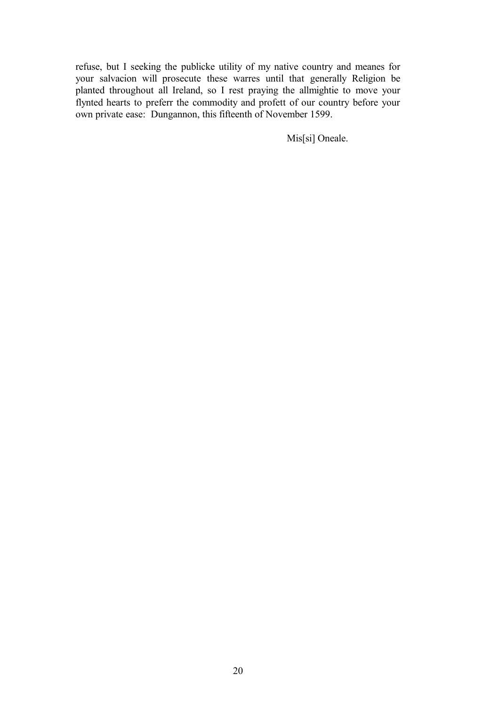refuse, but I seeking the publicke utility of my native country and meanes for your salvacion will prosecute these warres until that generally Religion be planted throughout all Ireland, so I rest praying the allmightie to move your flynted hearts to preferr the commodity and profett of our country before your own private ease: Dungannon, this fifteenth of November 1599.

Mis[si] Oneale.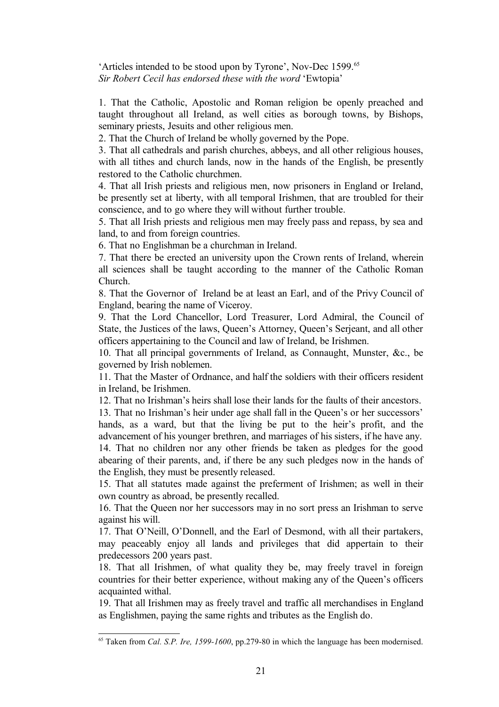'Articles intended to be stood upon by Tyrone', Nov-Dec 1599.[65](#page-20-0) *Sir Robert Cecil has endorsed these with the word* 'Ewtopia'

1. That the Catholic, Apostolic and Roman religion be openly preached and taught throughout all Ireland, as well cities as borough towns, by Bishops, seminary priests, Jesuits and other religious men.

2. That the Church of Ireland be wholly governed by the Pope.

3. That all cathedrals and parish churches, abbeys, and all other religious houses, with all tithes and church lands, now in the hands of the English, be presently restored to the Catholic churchmen.

4. That all Irish priests and religious men, now prisoners in England or Ireland, be presently set at liberty, with all temporal Irishmen, that are troubled for their conscience, and to go where they will without further trouble.

5. That all Irish priests and religious men may freely pass and repass, by sea and land, to and from foreign countries.

6. That no Englishman be a churchman in Ireland.

7. That there be erected an university upon the Crown rents of Ireland, wherein all sciences shall be taught according to the manner of the Catholic Roman Church.

8. That the Governor of Ireland be at least an Earl, and of the Privy Council of England, bearing the name of Viceroy.

9. That the Lord Chancellor, Lord Treasurer, Lord Admiral, the Council of State, the Justices of the laws, Queen's Attorney, Queen's Serjeant, and all other officers appertaining to the Council and law of Ireland, be Irishmen.

10. That all principal governments of Ireland, as Connaught, Munster, &c., be governed by Irish noblemen.

11. That the Master of Ordnance, and half the soldiers with their officers resident in Ireland, be Irishmen.

12. That no Irishman's heirs shall lose their lands for the faults of their ancestors.

13. That no Irishman's heir under age shall fall in the Queen's or her successors' hands, as a ward, but that the living be put to the heir's profit, and the advancement of his younger brethren, and marriages of his sisters, if he have any. 14. That no children nor any other friends be taken as pledges for the good abearing of their parents, and, if there be any such pledges now in the hands of the English, they must be presently released.

15. That all statutes made against the preferment of Irishmen; as well in their own country as abroad, be presently recalled.

16. That the Queen nor her successors may in no sort press an Irishman to serve against his will.

17. That O'Neill, O'Donnell, and the Earl of Desmond, with all their partakers, may peaceably enjoy all lands and privileges that did appertain to their predecessors 200 years past.

18. That all Irishmen, of what quality they be, may freely travel in foreign countries for their better experience, without making any of the Queen's officers acquainted withal.

19. That all Irishmen may as freely travel and traffic all merchandises in England as Englishmen, paying the same rights and tributes as the English do.

<span id="page-20-0"></span><sup>65</sup> Taken from *Cal. S.P. Ire, 1599-1600*, pp.279-80 in which the language has been modernised.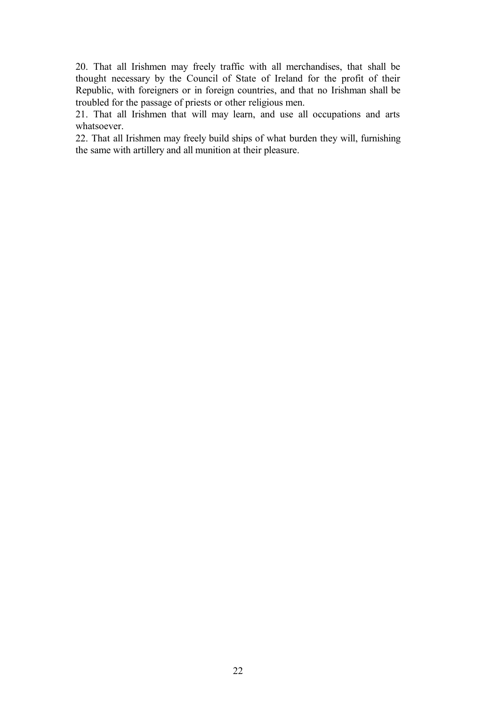20. That all Irishmen may freely traffic with all merchandises, that shall be thought necessary by the Council of State of Ireland for the profit of their Republic, with foreigners or in foreign countries, and that no Irishman shall be troubled for the passage of priests or other religious men.

21. That all Irishmen that will may learn, and use all occupations and arts whatsoever.

22. That all Irishmen may freely build ships of what burden they will, furnishing the same with artillery and all munition at their pleasure.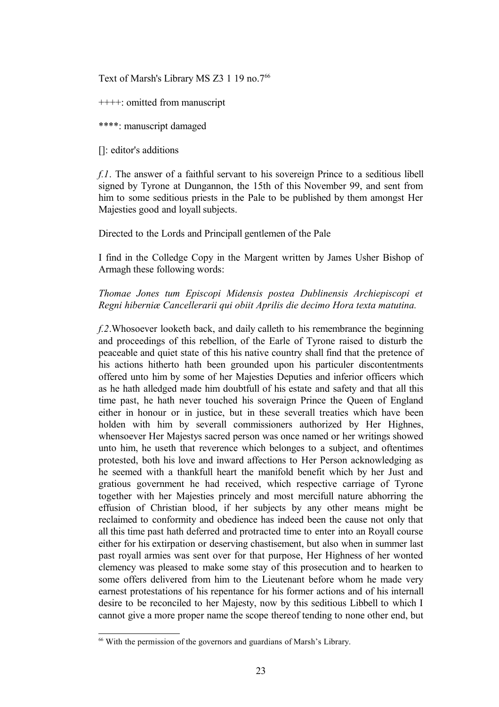Text of Marsh's Library MS Z3 1 19 no.7<sup>[66](#page-22-0)</sup>

++++: omitted from manuscript

\*\*\*\*: manuscript damaged

[]: editor's additions

*f.1*. The answer of a faithful servant to his sovereign Prince to a seditious libell signed by Tyrone at Dungannon, the 15th of this November 99, and sent from him to some seditious priests in the Pale to be published by them amongst Her Majesties good and loyall subjects.

Directed to the Lords and Principall gentlemen of the Pale

I find in the Colledge Copy in the Margent written by James Usher Bishop of Armagh these following words:

## *Thomae Jones tum Episcopi Midensis postea Dublinensis Archiepiscopi et Regni hiberniæ Cancellerarii qui obiit Aprilis die decimo Hora texta matutina.*

*f.2*.Whosoever looketh back, and daily calleth to his remembrance the beginning and proceedings of this rebellion, of the Earle of Tyrone raised to disturb the peaceable and quiet state of this his native country shall find that the pretence of his actions hitherto hath been grounded upon his particuler discontentments offered unto him by some of her Majesties Deputies and inferior officers which as he hath alledged made him doubtfull of his estate and safety and that all this time past, he hath never touched his soveraign Prince the Queen of England either in honour or in justice, but in these severall treaties which have been holden with him by severall commissioners authorized by Her Highnes, whensoever Her Majestys sacred person was once named or her writings showed unto him, he useth that reverence which belonges to a subject, and oftentimes protested, both his love and inward affections to Her Person acknowledging as he seemed with a thankfull heart the manifold benefit which by her Just and gratious government he had received, which respective carriage of Tyrone together with her Majesties princely and most mercifull nature abhorring the effusion of Christian blood, if her subjects by any other means might be reclaimed to conformity and obedience has indeed been the cause not only that all this time past hath deferred and protracted time to enter into an Royall course either for his extirpation or deserving chastisement, but also when in summer last past royall armies was sent over for that purpose, Her Highness of her wonted clemency was pleased to make some stay of this prosecution and to hearken to some offers delivered from him to the Lieutenant before whom he made very earnest protestations of his repentance for his former actions and of his internall desire to be reconciled to her Majesty, now by this seditious Libbell to which I cannot give a more proper name the scope thereof tending to none other end, but

<span id="page-22-0"></span><sup>&</sup>lt;sup>66</sup> With the permission of the governors and guardians of Marsh's Library.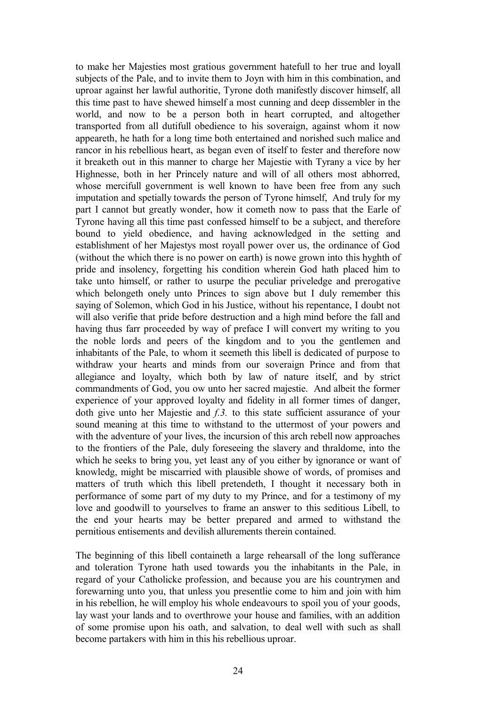to make her Majesties most gratious government hatefull to her true and loyall subjects of the Pale, and to invite them to Joyn with him in this combination, and uproar against her lawful authoritie, Tyrone doth manifestly discover himself, all this time past to have shewed himself a most cunning and deep dissembler in the world, and now to be a person both in heart corrupted, and altogether transported from all dutifull obedience to his soveraign, against whom it now appeareth, he hath for a long time both entertained and norished such malice and rancor in his rebellious heart, as began even of itself to fester and therefore now it breaketh out in this manner to charge her Majestie with Tyrany a vice by her Highnesse, both in her Princely nature and will of all others most abhorred, whose mercifull government is well known to have been free from any such imputation and spetially towards the person of Tyrone himself, And truly for my part I cannot but greatly wonder, how it cometh now to pass that the Earle of Tyrone having all this time past confessed himself to be a subject, and therefore bound to yield obedience, and having acknowledged in the setting and establishment of her Majestys most royall power over us, the ordinance of God (without the which there is no power on earth) is nowe grown into this hyghth of pride and insolency, forgetting his condition wherein God hath placed him to take unto himself, or rather to usurpe the peculiar priveledge and prerogative which belongeth onely unto Princes to sign above but I duly remember this saying of Solemon, which God in his Justice, without his repentance, I doubt not will also verifie that pride before destruction and a high mind before the fall and having thus farr proceeded by way of preface I will convert my writing to you the noble lords and peers of the kingdom and to you the gentlemen and inhabitants of the Pale, to whom it seemeth this libell is dedicated of purpose to withdraw your hearts and minds from our soveraign Prince and from that allegiance and loyalty, which both by law of nature itself, and by strict commandments of God, you ow unto her sacred majestie. And albeit the former experience of your approved loyalty and fidelity in all former times of danger, doth give unto her Majestie and *f.3.* to this state sufficient assurance of your sound meaning at this time to withstand to the uttermost of your powers and with the adventure of your lives, the incursion of this arch rebell now approaches to the frontiers of the Pale, duly foreseeing the slavery and thraldome, into the which he seeks to bring you, yet least any of you either by ignorance or want of knowledg, might be miscarried with plausible showe of words, of promises and matters of truth which this libell pretendeth, I thought it necessary both in performance of some part of my duty to my Prince, and for a testimony of my love and goodwill to yourselves to frame an answer to this seditious Libell, to the end your hearts may be better prepared and armed to withstand the pernitious entisements and devilish allurements therein contained.

The beginning of this libell containeth a large rehearsall of the long sufferance and toleration Tyrone hath used towards you the inhabitants in the Pale, in regard of your Catholicke profession, and because you are his countrymen and forewarning unto you, that unless you presentlie come to him and join with him in his rebellion, he will employ his whole endeavours to spoil you of your goods, lay wast your lands and to overthrowe your house and families, with an addition of some promise upon his oath, and salvation, to deal well with such as shall become partakers with him in this his rebellious uproar.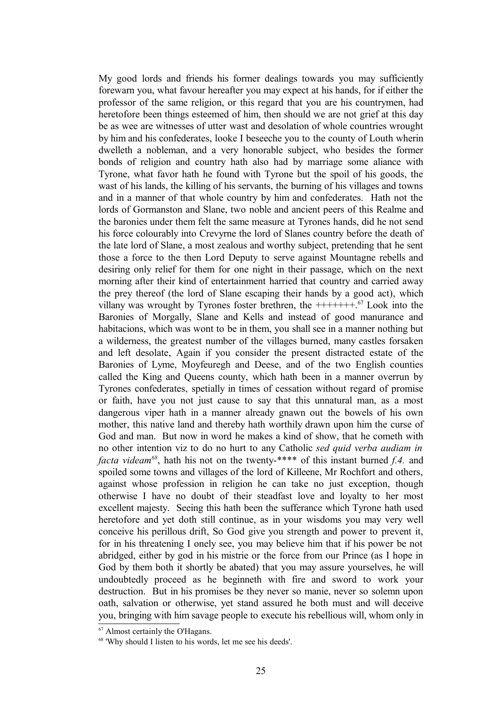My good lords and friends his former dealings towards you may sufficiently forewarn you, what favour hereafter you may expect at his hands, for if either the professor of the same religion, or this regard that you are his countrymen, had heretofore been things esteemed of him, then should we are not grief at this day be as wee are witnesses of utter wast and desolation of whole countries wrought by him and his confederates, looke I beseeche you to the county of Louth wherin dwelleth a nobleman, and a very honorable subject, who besides the former bonds of religion and country hath also had by marriage some aliance with Tyrone, what favor hath he found with Tyrone but the spoil of his goods, the wast of his lands, the killing of his servants, the burning of his villages and towns and in a manner of that whole country by him and confederates. Hath not the lords of Gormanston and Slane, two noble and ancient peers of this Realme and the baronies under them felt the same measure at Tyrones hands, did he not send his force colourably into Crevyrne the lord of Slanes country before the death of the late lord of Slane, a most zealous and worthy subject, pretending that he sent those a force to the then Lord Deputy to serve against Mountagne rebells and desiring only relief for them for one night in their passage, which on the next morning after their kind of entertainment harried that country and carried away the prey thereof (the lord of Slane escaping their hands by a good act), which villany was wrought by Tyrones foster brethren, the  $++++++$ <sup>[67](#page-24-0)</sup> Look into the Baronies of Morgally, Slane and Kells and instead of good manurance and habitacions, which was wont to be in them, you shall see in a manner nothing but a wilderness, the greatest number of the villages burned, many castles forsaken and left desolate, Again if you consider the present distracted estate of the Baronies of Lyme, Moyfeuregh and Deese, and of the two English counties called the King and Queens county, which hath been in a manner overrun by Tyrones confederates, spetially in times of cessation without regard of promise or faith, have you not just cause to say that this unnatural man, as a most dangerous viper hath in a manner already gnawn out the bowels of his own mother, this native land and thereby hath worthily drawn upon him the curse of God and man. But now in word he makes a kind of show, that he cometh with no other intention viz to do no hurt to any Catholic *sed quid verba audiam in facta videam[68](#page-24-1)*, hath his not on the twenty-\*\*\*\* of this instant burned *f.4.* and spoiled some towns and villages of the lord of Killeene, Mr Rochfort and others, against whose profession in religion he can take no just exception, though otherwise I have no doubt of their steadfast love and loyalty to her most excellent majesty. Seeing this hath been the sufferance which Tyrone hath used heretofore and yet doth still continue, as in your wisdoms you may very well conceive his perillous drift, So God give you strength and power to prevent it, for in his threatening I onely see, you may believe him that if his power be not abridged, either by god in his mistrie or the force from our Prince (as I hope in God by them both it shortly be abated) that you may assure yourselves, he will undoubtedly proceed as he beginneth with fire and sword to work your destruction. But in his promises be they never so manie, never so solemn upon oath, salvation or otherwise, yet stand assured he both must and will deceive you, bringing with him savage people to execute his rebellious will, whom only in

<span id="page-24-0"></span><sup>67</sup> Almost certainly the O'Hagans.

<span id="page-24-1"></span><sup>68</sup> 'Why should I listen to his words, let me see his deeds'.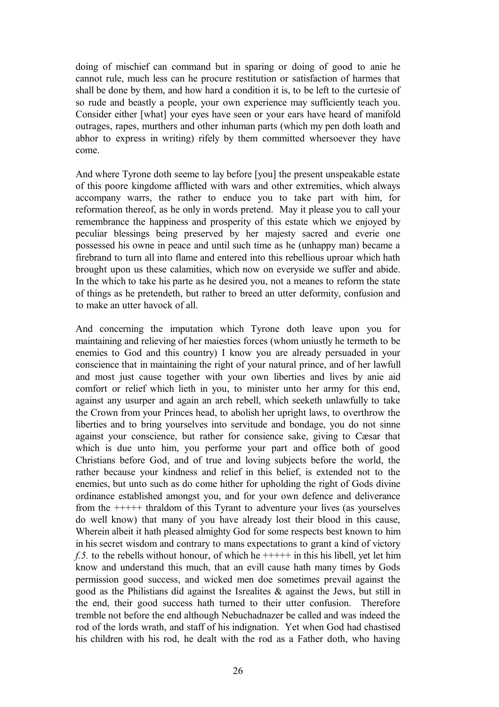doing of mischief can command but in sparing or doing of good to anie he cannot rule, much less can he procure restitution or satisfaction of harmes that shall be done by them, and how hard a condition it is, to be left to the curtesie of so rude and beastly a people, your own experience may sufficiently teach you. Consider either [what] your eyes have seen or your ears have heard of manifold outrages, rapes, murthers and other inhuman parts (which my pen doth loath and abhor to express in writing) rifely by them committed whersoever they have come.

And where Tyrone doth seeme to lay before [you] the present unspeakable estate of this poore kingdome afflicted with wars and other extremities, which always accompany warrs, the rather to enduce you to take part with him, for reformation thereof, as he only in words pretend. May it please you to call your remembrance the happiness and prosperity of this estate which we enjoyed by peculiar blessings being preserved by her majesty sacred and everie one possessed his owne in peace and until such time as he (unhappy man) became a firebrand to turn all into flame and entered into this rebellious uproar which hath brought upon us these calamities, which now on everyside we suffer and abide. In the which to take his parte as he desired you, not a meanes to reform the state of things as he pretendeth, but rather to breed an utter deformity, confusion and to make an utter havock of all.

And concerning the imputation which Tyrone doth leave upon you for maintaining and relieving of her maiesties forces (whom uniustly he termeth to be enemies to God and this country) I know you are already persuaded in your conscience that in maintaining the right of your natural prince, and of her lawfull and most just cause together with your own liberties and lives by anie aid comfort or relief which lieth in you, to minister unto her army for this end, against any usurper and again an arch rebell, which seeketh unlawfully to take the Crown from your Princes head, to abolish her upright laws, to overthrow the liberties and to bring yourselves into servitude and bondage, you do not sinne against your conscience, but rather for consience sake, giving to Cæsar that which is due unto him, you performe your part and office both of good Christians before God, and of true and loving subjects before the world, the rather because your kindness and relief in this belief, is extended not to the enemies, but unto such as do come hither for upholding the right of Gods divine ordinance established amongst you, and for your own defence and deliverance from the +++++ thraldom of this Tyrant to adventure your lives (as yourselves do well know) that many of you have already lost their blood in this cause, Wherein albeit it hath pleased almighty God for some respects best known to him in his secret wisdom and contrary to mans expectations to grant a kind of victory *f.5.* to the rebells without honour, of which he  $++++$  in this his libell, yet let him know and understand this much, that an evill cause hath many times by Gods permission good success, and wicked men doe sometimes prevail against the good as the Philistians did against the Isrealites & against the Jews, but still in the end, their good success hath turned to their utter confusion. Therefore tremble not before the end although Nebuchadnazer be called and was indeed the rod of the lords wrath, and staff of his indignation. Yet when God had chastised his children with his rod, he dealt with the rod as a Father doth, who having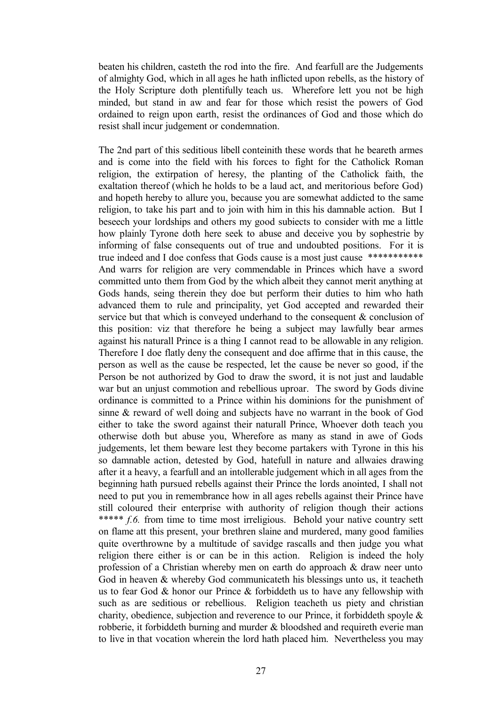beaten his children, casteth the rod into the fire. And fearfull are the Judgements of almighty God, which in all ages he hath inflicted upon rebells, as the history of the Holy Scripture doth plentifully teach us. Wherefore lett you not be high minded, but stand in aw and fear for those which resist the powers of God ordained to reign upon earth, resist the ordinances of God and those which do resist shall incur judgement or condemnation.

The 2nd part of this seditious libell conteinith these words that he beareth armes and is come into the field with his forces to fight for the Catholick Roman religion, the extirpation of heresy, the planting of the Catholick faith, the exaltation thereof (which he holds to be a laud act, and meritorious before God) and hopeth hereby to allure you, because you are somewhat addicted to the same religion, to take his part and to join with him in this his damnable action. But I beseech your lordships and others my good subiects to consider with me a little how plainly Tyrone doth here seek to abuse and deceive you by sophestrie by informing of false consequents out of true and undoubted positions. For it is true indeed and I doe confess that Gods cause is a most just cause \*\*\*\*\*\*\*\*\*\*\*\* And warrs for religion are very commendable in Princes which have a sword committed unto them from God by the which albeit they cannot merit anything at Gods hands, seing therein they doe but perform their duties to him who hath advanced them to rule and principality, yet God accepted and rewarded their service but that which is conveyed underhand to the consequent & conclusion of this position: viz that therefore he being a subject may lawfully bear armes against his naturall Prince is a thing I cannot read to be allowable in any religion. Therefore I doe flatly deny the consequent and doe affirme that in this cause, the person as well as the cause be respected, let the cause be never so good, if the Person be not authorized by God to draw the sword, it is not just and laudable war but an unjust commotion and rebellious uproar. The sword by Gods divine ordinance is committed to a Prince within his dominions for the punishment of sinne & reward of well doing and subjects have no warrant in the book of God either to take the sword against their naturall Prince, Whoever doth teach you otherwise doth but abuse you, Wherefore as many as stand in awe of Gods judgements, let them beware lest they become partakers with Tyrone in this his so damnable action, detested by God, hatefull in nature and allwaies drawing after it a heavy, a fearfull and an intollerable judgement which in all ages from the beginning hath pursued rebells against their Prince the lords anointed, I shall not need to put you in remembrance how in all ages rebells against their Prince have still coloured their enterprise with authority of religion though their actions \*\*\*\*\* *f.6.* from time to time most irreligious. Behold your native country sett on flame att this present, your brethren slaine and murdered, many good families quite overthrowne by a multitude of savidge rascalls and then judge you what religion there either is or can be in this action. Religion is indeed the holy profession of a Christian whereby men on earth do approach & draw neer unto God in heaven & whereby God communicateth his blessings unto us, it teacheth us to fear God & honor our Prince & forbiddeth us to have any fellowship with such as are seditious or rebellious. Religion teacheth us piety and christian charity, obedience, subjection and reverence to our Prince, it forbiddeth spoyle & robberie, it forbiddeth burning and murder & bloodshed and requireth everie man to live in that vocation wherein the lord hath placed him. Nevertheless you may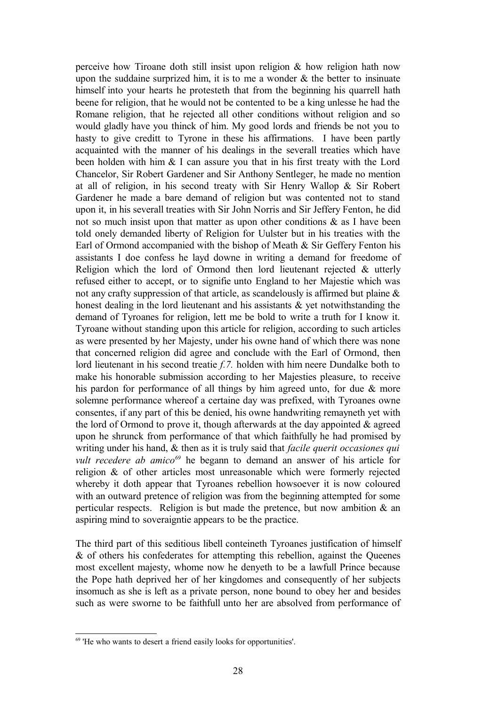perceive how Tiroane doth still insist upon religion & how religion hath now upon the suddaine surprized him, it is to me a wonder  $\&$  the better to insinuate himself into your hearts he protesteth that from the beginning his quarrell hath beene for religion, that he would not be contented to be a king unlesse he had the Romane religion, that he rejected all other conditions without religion and so would gladly have you thinck of him. My good lords and friends be not you to hasty to give creditt to Tyrone in these his affirmations. I have been partly acquainted with the manner of his dealings in the severall treaties which have been holden with him & I can assure you that in his first treaty with the Lord Chancelor, Sir Robert Gardener and Sir Anthony Sentleger, he made no mention at all of religion, in his second treaty with Sir Henry Wallop & Sir Robert Gardener he made a bare demand of religion but was contented not to stand upon it, in his severall treaties with Sir John Norris and Sir Jeffery Fenton, he did not so much insist upon that matter as upon other conditions  $\&$  as I have been told onely demanded liberty of Religion for Uulster but in his treaties with the Earl of Ormond accompanied with the bishop of Meath & Sir Geffery Fenton his assistants I doe confess he layd downe in writing a demand for freedome of Religion which the lord of Ormond then lord lieutenant rejected & utterly refused either to accept, or to signifie unto England to her Majestie which was not any crafty suppression of that article, as scandelously is affirmed but plaine & honest dealing in the lord lieutenant and his assistants & yet notwithstanding the demand of Tyroanes for religion, lett me be bold to write a truth for I know it. Tyroane without standing upon this article for religion, according to such articles as were presented by her Majesty, under his owne hand of which there was none that concerned religion did agree and conclude with the Earl of Ormond, then lord lieutenant in his second treatie *f.7.* holden with him neere Dundalke both to make his honorable submission according to her Majesties pleasure, to receive his pardon for performance of all things by him agreed unto, for due & more solemne performance whereof a certaine day was prefixed, with Tyroanes owne consentes, if any part of this be denied, his owne handwriting remayneth yet with the lord of Ormond to prove it, though afterwards at the day appointed  $\&$  agreed upon he shrunck from performance of that which faithfully he had promised by writing under his hand, & then as it is truly said that *facile querit occasiones qui vult recedere ab amico*<sup>[69](#page-27-0)</sup> he begann to demand an answer of his article for religion & of other articles most unreasonable which were formerly rejected whereby it doth appear that Tyroanes rebellion howsoever it is now coloured with an outward pretence of religion was from the beginning attempted for some perticular respects. Religion is but made the pretence, but now ambition  $\&$  an aspiring mind to soveraigntie appears to be the practice.

The third part of this seditious libell conteineth Tyroanes justification of himself & of others his confederates for attempting this rebellion, against the Queenes most excellent majesty, whome now he denyeth to be a lawfull Prince because the Pope hath deprived her of her kingdomes and consequently of her subjects insomuch as she is left as a private person, none bound to obey her and besides such as were sworne to be faithfull unto her are absolved from performance of

<span id="page-27-0"></span><sup>69</sup> 'He who wants to desert a friend easily looks for opportunities'.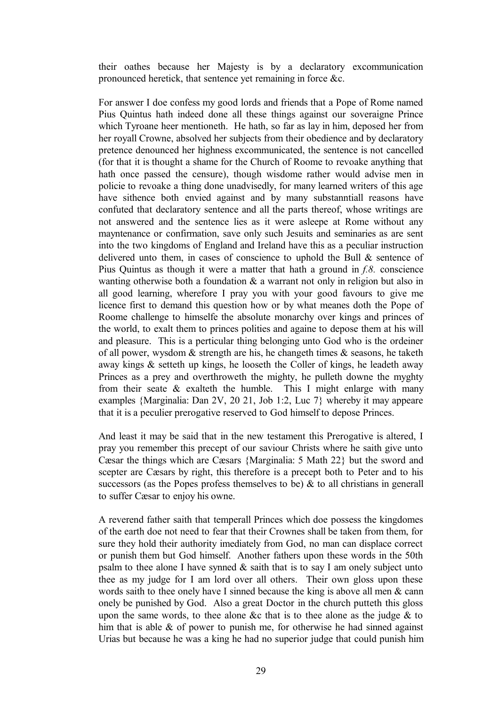their oathes because her Majesty is by a declaratory excommunication pronounced heretick, that sentence yet remaining in force &c.

For answer I doe confess my good lords and friends that a Pope of Rome named Pius Quintus hath indeed done all these things against our soveraigne Prince which Tyroane heer mentioneth. He hath, so far as lay in him, deposed her from her royall Crowne, absolved her subjects from their obedience and by declaratory pretence denounced her highness excommunicated, the sentence is not cancelled (for that it is thought a shame for the Church of Roome to revoake anything that hath once passed the censure), though wisdome rather would advise men in policie to revoake a thing done unadvisedly, for many learned writers of this age have sithence both envied against and by many substanntiall reasons have confuted that declaratory sentence and all the parts thereof, whose writings are not answered and the sentence lies as it were asleepe at Rome without any mayntenance or confirmation, save only such Jesuits and seminaries as are sent into the two kingdoms of England and Ireland have this as a peculiar instruction delivered unto them, in cases of conscience to uphold the Bull & sentence of Pius Quintus as though it were a matter that hath a ground in *f.8.* conscience wanting otherwise both a foundation  $\&$  a warrant not only in religion but also in all good learning, wherefore I pray you with your good favours to give me licence first to demand this question how or by what meanes doth the Pope of Roome challenge to himselfe the absolute monarchy over kings and princes of the world, to exalt them to princes polities and againe to depose them at his will and pleasure. This is a perticular thing belonging unto God who is the ordeiner of all power, wysdom  $\&$  strength are his, he changeth times  $\&$  seasons, he taketh away kings & setteth up kings, he looseth the Coller of kings, he leadeth away Princes as a prey and overthroweth the mighty, he pulleth downe the myghty from their seate  $\&$  exalteth the humble. This I might enlarge with many examples {Marginalia: Dan 2V, 20 21, Job 1:2, Luc 7} whereby it may appeare that it is a peculier prerogative reserved to God himself to depose Princes.

And least it may be said that in the new testament this Prerogative is altered, I pray you remember this precept of our saviour Christs where he saith give unto Cæsar the things which are Cæsars {Marginalia: 5 Math 22} but the sword and scepter are Cæsars by right, this therefore is a precept both to Peter and to his successors (as the Popes profess themselves to be)  $\&$  to all christians in generall to suffer Cæsar to enjoy his owne.

A reverend father saith that temperall Princes which doe possess the kingdomes of the earth doe not need to fear that their Crownes shall be taken from them, for sure they hold their authority imediately from God, no man can displace correct or punish them but God himself. Another fathers upon these words in the 50th psalm to thee alone I have synned  $\&$  saith that is to say I am onely subject unto thee as my judge for I am lord over all others. Their own gloss upon these words saith to thee onely have I sinned because the king is above all men & cann onely be punished by God. Also a great Doctor in the church putteth this gloss upon the same words, to thee alone &c that is to thee alone as the judge  $\&$  to him that is able & of power to punish me, for otherwise he had sinned against Urias but because he was a king he had no superior judge that could punish him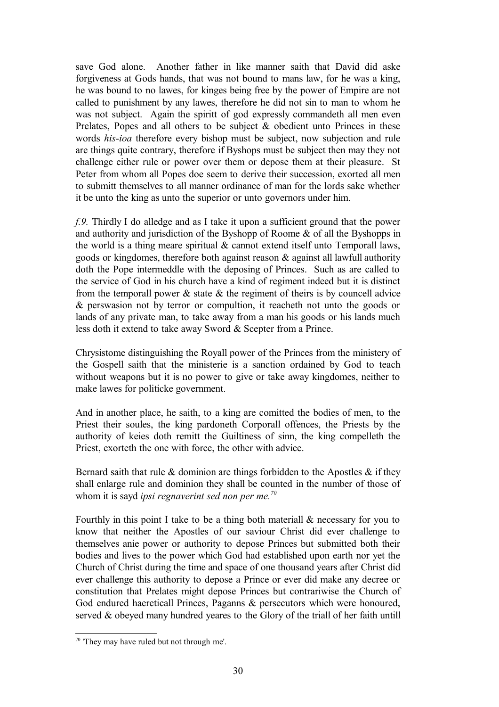save God alone. Another father in like manner saith that David did aske forgiveness at Gods hands, that was not bound to mans law, for he was a king, he was bound to no lawes, for kinges being free by the power of Empire are not called to punishment by any lawes, therefore he did not sin to man to whom he was not subject. Again the spiritt of god expressly commandeth all men even Prelates, Popes and all others to be subject & obedient unto Princes in these words *his-ioa* therefore every bishop must be subject, now subjection and rule are things quite contrary, therefore if Byshops must be subject then may they not challenge either rule or power over them or depose them at their pleasure. St Peter from whom all Popes doe seem to derive their succession, exorted all men to submitt themselves to all manner ordinance of man for the lords sake whether it be unto the king as unto the superior or unto governors under him.

*f.9.* Thirdly I do alledge and as I take it upon a sufficient ground that the power and authority and jurisdiction of the Byshopp of Roome & of all the Byshopps in the world is a thing meare spiritual  $\&$  cannot extend itself unto Temporall laws, goods or kingdomes, therefore both against reason & against all lawfull authority doth the Pope intermeddle with the deposing of Princes. Such as are called to the service of God in his church have a kind of regiment indeed but it is distinct from the temporall power  $\&$  state  $\&$  the regiment of theirs is by councell advice & perswasion not by terror or compultion, it reacheth not unto the goods or lands of any private man, to take away from a man his goods or his lands much less doth it extend to take away Sword & Scepter from a Prince.

Chrysistome distinguishing the Royall power of the Princes from the ministery of the Gospell saith that the ministerie is a sanction ordained by God to teach without weapons but it is no power to give or take away kingdomes, neither to make lawes for politicke government.

And in another place, he saith, to a king are comitted the bodies of men, to the Priest their soules, the king pardoneth Corporall offences, the Priests by the authority of keies doth remitt the Guiltiness of sinn, the king compelleth the Priest, exorteth the one with force, the other with advice.

Bernard saith that rule  $\&$  dominion are things forbidden to the Apostles  $\&$  if they shall enlarge rule and dominion they shall be counted in the number of those of whom it is sayd *ipsi regnaverint sed non per me.[70](#page-29-0)*

Fourthly in this point I take to be a thing both materiall & necessary for you to know that neither the Apostles of our saviour Christ did ever challenge to themselves anie power or authority to depose Princes but submitted both their bodies and lives to the power which God had established upon earth nor yet the Church of Christ during the time and space of one thousand years after Christ did ever challenge this authority to depose a Prince or ever did make any decree or constitution that Prelates might depose Princes but contrariwise the Church of God endured haereticall Princes, Paganns & persecutors which were honoured, served & obeyed many hundred yeares to the Glory of the triall of her faith untill

<span id="page-29-0"></span><sup>70</sup> 'They may have ruled but not through me'.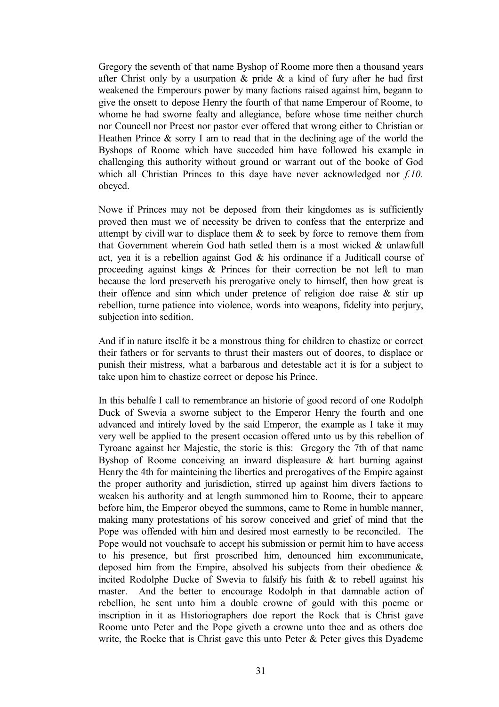Gregory the seventh of that name Byshop of Roome more then a thousand years after Christ only by a usurpation  $\&$  pride  $\&$  a kind of fury after he had first weakened the Emperours power by many factions raised against him, begann to give the onsett to depose Henry the fourth of that name Emperour of Roome, to whome he had sworne fealty and allegiance, before whose time neither church nor Councell nor Preest nor pastor ever offered that wrong either to Christian or Heathen Prince & sorry I am to read that in the declining age of the world the Byshops of Roome which have succeded him have followed his example in challenging this authority without ground or warrant out of the booke of God which all Christian Princes to this daye have never acknowledged nor *f.10.* obeyed.

Nowe if Princes may not be deposed from their kingdomes as is sufficiently proved then must we of necessity be driven to confess that the enterprize and attempt by civill war to displace them  $\&$  to seek by force to remove them from that Government wherein God hath setled them is a most wicked & unlawfull act, yea it is a rebellion against God & his ordinance if a Juditicall course of proceeding against kings & Princes for their correction be not left to man because the lord preserveth his prerogative onely to himself, then how great is their offence and sinn which under pretence of religion doe raise & stir up rebellion, turne patience into violence, words into weapons, fidelity into perjury, subjection into sedition.

And if in nature itselfe it be a monstrous thing for children to chastize or correct their fathers or for servants to thrust their masters out of doores, to displace or punish their mistress, what a barbarous and detestable act it is for a subject to take upon him to chastize correct or depose his Prince.

In this behalfe I call to remembrance an historie of good record of one Rodolph Duck of Swevia a sworne subject to the Emperor Henry the fourth and one advanced and intirely loved by the said Emperor, the example as I take it may very well be applied to the present occasion offered unto us by this rebellion of Tyroane against her Majestie, the storie is this: Gregory the 7th of that name Byshop of Roome conceiving an inward displeasure & hart burning against Henry the 4th for mainteining the liberties and prerogatives of the Empire against the proper authority and jurisdiction, stirred up against him divers factions to weaken his authority and at length summoned him to Roome, their to appeare before him, the Emperor obeyed the summons, came to Rome in humble manner, making many protestations of his sorow conceived and grief of mind that the Pope was offended with him and desired most earnestly to be reconciled. The Pope would not vouchsafe to accept his submission or permit him to have access to his presence, but first proscribed him, denounced him excommunicate, deposed him from the Empire, absolved his subjects from their obedience  $\&$ incited Rodolphe Ducke of Swevia to falsify his faith & to rebell against his master. And the better to encourage Rodolph in that damnable action of rebellion, he sent unto him a double crowne of gould with this poeme or inscription in it as Historiographers doe report the Rock that is Christ gave Roome unto Peter and the Pope giveth a crowne unto thee and as others doe write, the Rocke that is Christ gave this unto Peter  $\&$  Peter gives this Dyademe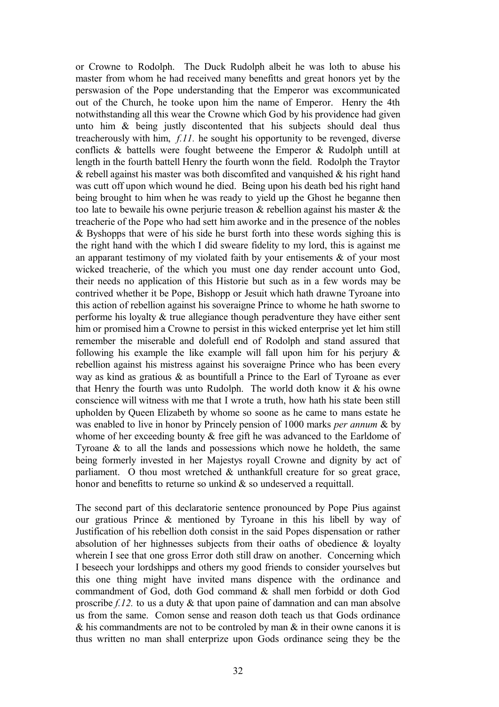or Crowne to Rodolph. The Duck Rudolph albeit he was loth to abuse his master from whom he had received many benefitts and great honors yet by the perswasion of the Pope understanding that the Emperor was excommunicated out of the Church, he tooke upon him the name of Emperor. Henry the 4th notwithstanding all this wear the Crowne which God by his providence had given unto him & being justly discontented that his subjects should deal thus treacherously with him, *f.11.* he sought his opportunity to be revenged, diverse conflicts & battells were fought betweene the Emperor & Rudolph untill at length in the fourth battell Henry the fourth wonn the field. Rodolph the Traytor  $\&$  rebell against his master was both discomfited and vanguished  $\&$  his right hand was cutt off upon which wound he died. Being upon his death bed his right hand being brought to him when he was ready to yield up the Ghost he beganne then too late to bewaile his owne perjurie treason & rebellion against his master & the treacherie of the Pope who had sett him aworke and in the presence of the nobles & Byshopps that were of his side he burst forth into these words sighing this is the right hand with the which I did sweare fidelity to my lord, this is against me an apparant testimony of my violated faith by your entisements  $\&$  of your most wicked treacherie, of the which you must one day render account unto God, their needs no application of this Historie but such as in a few words may be contrived whether it be Pope, Bishopp or Jesuit which hath drawne Tyroane into this action of rebellion against his soveraigne Prince to whome he hath sworne to performe his loyalty  $\&$  true allegiance though peradventure they have either sent him or promised him a Crowne to persist in this wicked enterprise yet let him still remember the miserable and dolefull end of Rodolph and stand assured that following his example the like example will fall upon him for his perjury  $\&$ rebellion against his mistress against his soveraigne Prince who has been every way as kind as gratious & as bountifull a Prince to the Earl of Tyroane as ever that Henry the fourth was unto Rudolph. The world doth know it  $\&$  his owne conscience will witness with me that I wrote a truth, how hath his state been still upholden by Queen Elizabeth by whome so soone as he came to mans estate he was enabled to live in honor by Princely pension of 1000 marks *per annum* & by whome of her exceeding bounty & free gift he was advanced to the Earldome of Tyroane & to all the lands and possessions which nowe he holdeth, the same being formerly invested in her Majestys royall Crowne and dignity by act of parliament. O thou most wretched & unthankfull creature for so great grace, honor and benefitts to returne so unkind  $\&$  so undeserved a requittall.

The second part of this declaratorie sentence pronounced by Pope Pius against our gratious Prince & mentioned by Tyroane in this his libell by way of Justification of his rebellion doth consist in the said Popes dispensation or rather absolution of her highnesses subjects from their oaths of obedience & loyalty wherein I see that one gross Error doth still draw on another. Concerning which I beseech your lordshipps and others my good friends to consider yourselves but this one thing might have invited mans dispence with the ordinance and commandment of God, doth God command & shall men forbidd or doth God proscribe *f.12.* to us a duty & that upon paine of damnation and can man absolve us from the same. Comon sense and reason doth teach us that Gods ordinance & his commandments are not to be controled by man & in their owne canons it is thus written no man shall enterprize upon Gods ordinance seing they be the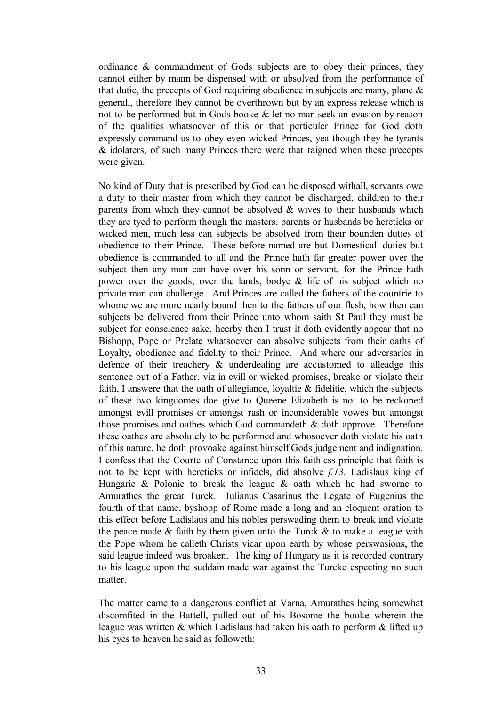ordinance & commandment of Gods subjects are to obey their princes, they cannot either by mann be dispensed with or absolved from the performance of that dutie, the precepts of God requiring obedience in subjects are many, plane  $\&$ generall, therefore they cannot be overthrown but by an express release which is not to be performed but in Gods booke & let no man seek an evasion by reason of the qualities whatsoever of this or that perticuler Prince for God doth expressly command us to obey even wicked Princes, yea though they be tyrants & idolaters, of such many Princes there were that raigned when these precepts were given.

No kind of Duty that is prescribed by God can be disposed withall, servants owe a duty to their master from which they cannot be discharged, children to their parents from which they cannot be absolved  $\&$  wives to their husbands which they are tyed to perform though the masters, parents or husbands be hereticks or wicked men, much less can subjects be absolved from their bounden duties of obedience to their Prince. These before named are but Domesticall duties but obedience is commanded to all and the Prince hath far greater power over the subject then any man can have over his sonn or servant, for the Prince hath power over the goods, over the lands, bodye & life of his subject which no private man can challenge. And Princes are called the fathers of the countrie to whome we are more nearly bound then to the fathers of our flesh, how then can subjects be delivered from their Prince unto whom saith St Paul they must be subject for conscience sake, heerby then I trust it doth evidently appear that no Bishopp, Pope or Prelate whatsoever can absolve subjects from their oaths of Loyalty, obedience and fidelity to their Prince. And where our adversaries in defence of their treachery & underdealing are accustomed to alleadge this sentence out of a Father, viz in evill or wicked promises, breake or violate their faith, I answere that the oath of allegiance, loyaltie  $\&$  fidelitie, which the subjects of these two kingdomes doe give to Queene Elizabeth is not to be reckoned amongst evill promises or amongst rash or inconsiderable vowes but amongst those promises and oathes which God commandeth & doth approve. Therefore these oathes are absolutely to be performed and whosoever doth violate his oath of this nature, he doth provoake against himself Gods judgement and indignation. I confess that the Courte of Constance upon this faithless principle that faith is not to be kept with hereticks or infidels, did absolve *f.13.* Ladislaus king of Hungarie & Polonie to break the league & oath which he had sworne to Amurathes the great Turck. Iulianus Casarinus the Legate of Eugenius the fourth of that name, byshopp of Rome made a long and an eloquent oration to this effect before Ladislaus and his nobles perswading them to break and violate the peace made  $\&$  faith by them given unto the Turck  $\&$  to make a league with the Pope whom he calleth Christs vicar upon earth by whose perswasions, the said league indeed was broaken. The king of Hungary as it is recorded contrary to his league upon the suddain made war against the Turcke especting no such matter.

The matter came to a dangerous conflict at Varna, Amurathes being somewhat discomfited in the Battell, pulled out of his Bosome the booke wherein the league was written & which Ladislaus had taken his oath to perform & lifted up his eyes to heaven he said as followeth: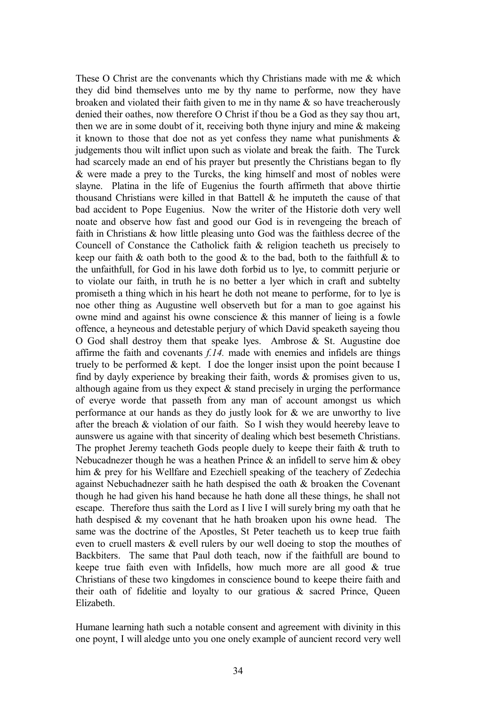These O Christ are the convenants which thy Christians made with me & which they did bind themselves unto me by thy name to performe, now they have broaken and violated their faith given to me in thy name  $\&$  so have treacherously denied their oathes, now therefore O Christ if thou be a God as they say thou art, then we are in some doubt of it, receiving both thyne injury and mine & makeing it known to those that doe not as yet confess they name what punishments  $\&$ judgements thou wilt inflict upon such as violate and break the faith. The Turck had scarcely made an end of his prayer but presently the Christians began to fly & were made a prey to the Turcks, the king himself and most of nobles were slayne. Platina in the life of Eugenius the fourth affirmeth that above thirtie thousand Christians were killed in that Battell  $\&$  he imputeth the cause of that bad accident to Pope Eugenius. Now the writer of the Historie doth very well noate and observe how fast and good our God is in revengeing the breach of faith in Christians & how little pleasing unto God was the faithless decree of the Councell of Constance the Catholick faith & religion teacheth us precisely to keep our faith  $\&$  oath both to the good  $\&$  to the bad, both to the faithfull  $\&$  to the unfaithfull, for God in his lawe doth forbid us to lye, to committ perjurie or to violate our faith, in truth he is no better a lyer which in craft and subtelty promiseth a thing which in his heart he doth not meane to performe, for to lye is noe other thing as Augustine well observeth but for a man to goe against his owne mind and against his owne conscience & this manner of lieing is a fowle offence, a heyneous and detestable perjury of which David speaketh sayeing thou O God shall destroy them that speake lyes. Ambrose  $\&$  St. Augustine doe affirme the faith and covenants *f.14.* made with enemies and infidels are things truely to be performed & kept. I doe the longer insist upon the point because I find by dayly experience by breaking their faith, words & promises given to us, although againe from us they expect  $\&$  stand precisely in urging the performance of everye worde that passeth from any man of account amongst us which performance at our hands as they do justly look for & we are unworthy to live after the breach  $&$  violation of our faith. So I wish they would heereby leave to aunswere us againe with that sincerity of dealing which best besemeth Christians. The prophet Jeremy teacheth Gods people duely to keepe their faith & truth to Nebucadnezer though he was a heathen Prince  $\&$  an infidell to serve him  $\&$  obey him  $\&$  prey for his Wellfare and Ezechiell speaking of the teachery of Zedechia against Nebuchadnezer saith he hath despised the oath & broaken the Covenant though he had given his hand because he hath done all these things, he shall not escape. Therefore thus saith the Lord as I live I will surely bring my oath that he hath despised  $\&$  my covenant that he hath broaken upon his owne head. The same was the doctrine of the Apostles, St Peter teacheth us to keep true faith even to cruell masters & evell rulers by our well doeing to stop the mouthes of Backbiters. The same that Paul doth teach, now if the faithfull are bound to keepe true faith even with Infidells, how much more are all good & true Christians of these two kingdomes in conscience bound to keepe theire faith and their oath of fidelitie and loyalty to our gratious & sacred Prince, Queen Elizabeth.

Humane learning hath such a notable consent and agreement with divinity in this one poynt, I will aledge unto you one onely example of auncient record very well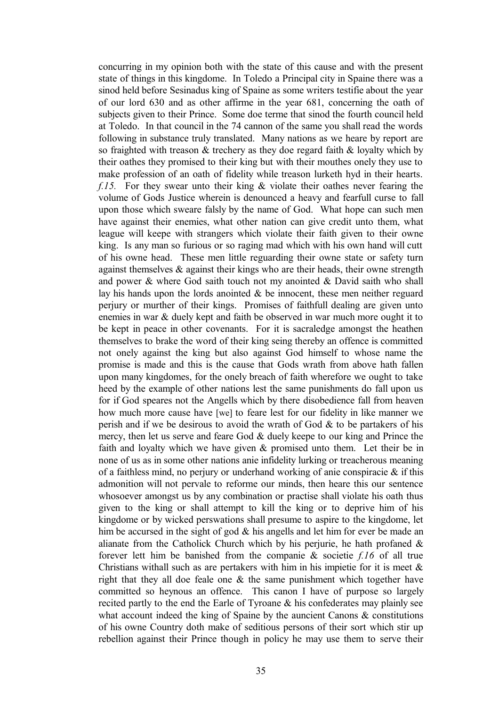concurring in my opinion both with the state of this cause and with the present state of things in this kingdome. In Toledo a Principal city in Spaine there was a sinod held before Sesinadus king of Spaine as some writers testifie about the year of our lord 630 and as other affirme in the year 681, concerning the oath of subjects given to their Prince. Some doe terme that sinod the fourth council held at Toledo. In that council in the 74 cannon of the same you shall read the words following in substance truly translated. Many nations as we heare by report are so fraighted with treason  $\&$  trechery as they doe regard faith  $\&$  loyalty which by their oathes they promised to their king but with their mouthes onely they use to make profession of an oath of fidelity while treason lurketh hyd in their hearts. *f.15.* For they swear unto their king & violate their oathes never fearing the volume of Gods Justice wherein is denounced a heavy and fearfull curse to fall upon those which sweare falsly by the name of God. What hope can such men have against their enemies, what other nation can give credit unto them, what league will keepe with strangers which violate their faith given to their owne king. Is any man so furious or so raging mad which with his own hand will cutt of his owne head. These men little reguarding their owne state or safety turn against themselves & against their kings who are their heads, their owne strength and power & where God saith touch not my anointed & David saith who shall lay his hands upon the lords anointed & be innocent, these men neither reguard perjury or murther of their kings. Promises of faithfull dealing are given unto enemies in war & duely kept and faith be observed in war much more ought it to be kept in peace in other covenants. For it is sacraledge amongst the heathen themselves to brake the word of their king seing thereby an offence is committed not onely against the king but also against God himself to whose name the promise is made and this is the cause that Gods wrath from above hath fallen upon many kingdomes, for the onely breach of faith wherefore we ought to take heed by the example of other nations lest the same punishments do fall upon us for if God speares not the Angells which by there disobedience fall from heaven how much more cause have [we] to feare lest for our fidelity in like manner we perish and if we be desirous to avoid the wrath of God  $\&$  to be partakers of his mercy, then let us serve and feare God & duely keepe to our king and Prince the faith and loyalty which we have given & promised unto them. Let their be in none of us as in some other nations anie infidelity lurking or treacherous meaning of a faithless mind, no perjury or underhand working of anie conspiracie  $\&$  if this admonition will not pervale to reforme our minds, then heare this our sentence whosoever amongst us by any combination or practise shall violate his oath thus given to the king or shall attempt to kill the king or to deprive him of his kingdome or by wicked perswations shall presume to aspire to the kingdome, let him be accursed in the sight of god  $\&$  his angells and let him for ever be made an alianate from the Catholick Church which by his perjurie, he hath profaned  $\&$ forever lett him be banished from the companie & societie *f.16* of all true Christians withall such as are pertakers with him in his impietie for it is meet  $\&$ right that they all doe feale one & the same punishment which together have committed so heynous an offence. This canon I have of purpose so largely recited partly to the end the Earle of Tyroane & his confederates may plainly see what account indeed the king of Spaine by the auncient Canons & constitutions of his owne Country doth make of seditious persons of their sort which stir up rebellion against their Prince though in policy he may use them to serve their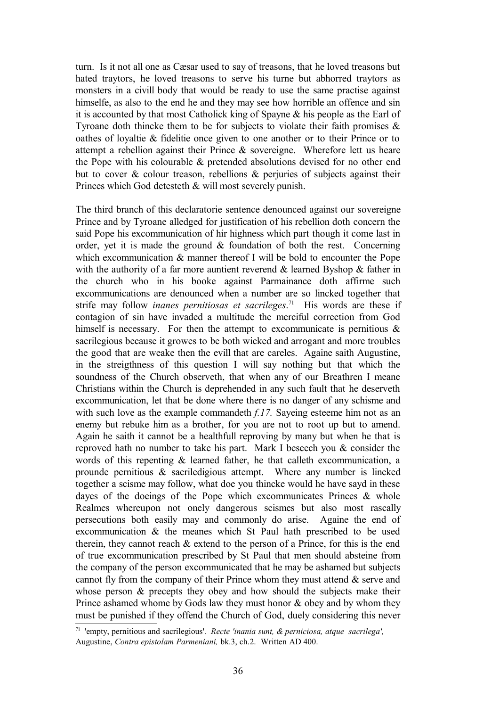turn. Is it not all one as Cæsar used to say of treasons, that he loved treasons but hated traytors, he loved treasons to serve his turne but abhorred traytors as monsters in a civill body that would be ready to use the same practise against himselfe, as also to the end he and they may see how horrible an offence and sin it is accounted by that most Catholick king of Spayne & his people as the Earl of Tyroane doth thincke them to be for subjects to violate their faith promises  $\&$ oathes of loyaltie & fidelitie once given to one another or to their Prince or to attempt a rebellion against their Prince & sovereigne. Wherefore lett us heare the Pope with his colourable & pretended absolutions devised for no other end but to cover  $\&$  colour treason, rebellions  $\&$  perjuries of subjects against their Princes which God detesteth & will most severely punish.

The third branch of this declaratorie sentence denounced against our sovereigne Prince and by Tyroane alledged for justification of his rebellion doth concern the said Pope his excommunication of hir highness which part though it come last in order, yet it is made the ground  $\&$  foundation of both the rest. Concerning which excommunication  $\&$  manner thereof I will be bold to encounter the Pope with the authority of a far more auntient reverend & learned Byshop & father in the church who in his booke against Parmainance doth affirme such excommunications are denounced when a number are so lincked together that strife may follow *inanes pernitiosas et sacrileges*. [71](#page-35-0) His words are these if contagion of sin have invaded a multitude the merciful correction from God himself is necessary. For then the attempt to excommunicate is pernitious  $\&$ sacrilegious because it growes to be both wicked and arrogant and more troubles the good that are weake then the evill that are careles. Againe saith Augustine, in the streigthness of this question I will say nothing but that which the soundness of the Church observeth, that when any of our Breathren I meane Christians within the Church is deprehended in any such fault that he deserveth excommunication, let that be done where there is no danger of any schisme and with such love as the example commandeth *f.17.* Sayeing esteeme him not as an enemy but rebuke him as a brother, for you are not to root up but to amend. Again he saith it cannot be a healthfull reproving by many but when he that is reproved hath no number to take his part. Mark I beseech you & consider the words of this repenting & learned father, he that calleth excommunication, a prounde pernitious & sacriledigious attempt. Where any number is lincked together a scisme may follow, what doe you thincke would he have sayd in these dayes of the doeings of the Pope which excommunicates Princes & whole Realmes whereupon not onely dangerous scismes but also most rascally persecutions both easily may and commonly do arise. Againe the end of excommunication & the meanes which St Paul hath prescribed to be used therein, they cannot reach & extend to the person of a Prince, for this is the end of true excommunication prescribed by St Paul that men should absteine from the company of the person excommunicated that he may be ashamed but subjects cannot fly from the company of their Prince whom they must attend & serve and whose person  $\&$  precepts they obey and how should the subjects make their Prince ashamed whome by Gods law they must honor & obey and by whom they must be punished if they offend the Church of God, duely considering this never

<span id="page-35-0"></span><sup>71</sup> 'empty, pernitious and sacrilegious'. *Recte 'inania sunt, & perniciosa, atque sacrilega',* Augustine, *Contra epistolam Parmeniani,* bk.3, ch.2. Written AD 400.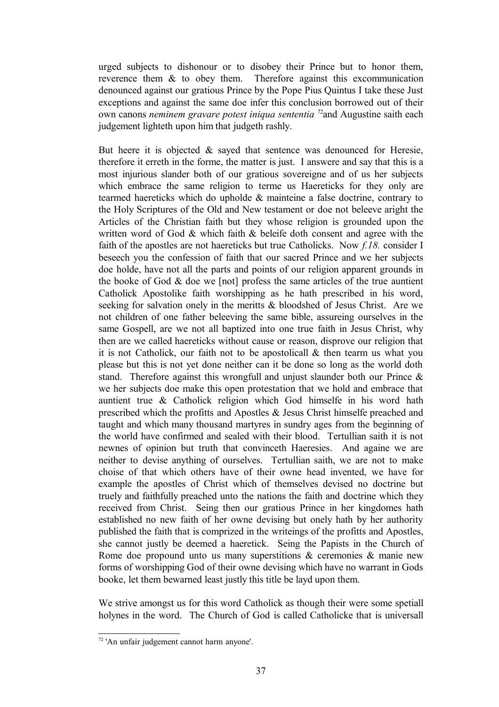urged subjects to dishonour or to disobey their Prince but to honor them, reverence them & to obey them. Therefore against this excommunication denounced against our gratious Prince by the Pope Pius Quintus I take these Just exceptions and against the same doe infer this conclusion borrowed out of their own canons *neminem gravare potest iniqua sententia* <sup>[72](#page-36-0)</sup> and Augustine saith each judgement lighteth upon him that judgeth rashly.

But heere it is objected  $\&$  sayed that sentence was denounced for Heresie, therefore it erreth in the forme, the matter is just. I answere and say that this is a most injurious slander both of our gratious sovereigne and of us her subjects which embrace the same religion to terme us Haereticks for they only are tearmed haereticks which do upholde & mainteine a false doctrine, contrary to the Holy Scriptures of the Old and New testament or doe not beleeve aright the Articles of the Christian faith but they whose religion is grounded upon the written word of God & which faith & beleife doth consent and agree with the faith of the apostles are not haereticks but true Catholicks. Now *f.18.* consider I beseech you the confession of faith that our sacred Prince and we her subjects doe holde, have not all the parts and points of our religion apparent grounds in the booke of God & doe we [not] profess the same articles of the true auntient Catholick Apostolike faith worshipping as he hath prescribed in his word, seeking for salvation onely in the meritts & bloodshed of Jesus Christ. Are we not children of one father beleeving the same bible, assureing ourselves in the same Gospell, are we not all baptized into one true faith in Jesus Christ, why then are we called haereticks without cause or reason, disprove our religion that it is not Catholick, our faith not to be apostolicall  $\&$  then tearm us what you please but this is not yet done neither can it be done so long as the world doth stand. Therefore against this wrongfull and unjust slaunder both our Prince & we her subjects doe make this open protestation that we hold and embrace that auntient true & Catholick religion which God himselfe in his word hath prescribed which the profitts and Apostles & Jesus Christ himselfe preached and taught and which many thousand martyres in sundry ages from the beginning of the world have confirmed and sealed with their blood. Tertullian saith it is not newnes of opinion but truth that convinceth Haeresies. And againe we are neither to devise anything of ourselves. Tertullian saith, we are not to make choise of that which others have of their owne head invented, we have for example the apostles of Christ which of themselves devised no doctrine but truely and faithfully preached unto the nations the faith and doctrine which they received from Christ. Seing then our gratious Prince in her kingdomes hath established no new faith of her owne devising but onely hath by her authority published the faith that is comprized in the writeings of the profitts and Apostles, she cannot justly be deemed a haeretick. Seing the Papists in the Church of Rome doe propound unto us many superstitions & ceremonies & manie new forms of worshipping God of their owne devising which have no warrant in Gods booke, let them bewarned least justly this title be layd upon them.

We strive amongst us for this word Catholick as though their were some spetiall holynes in the word. The Church of God is called Catholicke that is universall

<span id="page-36-0"></span><sup>72</sup> 'An unfair judgement cannot harm anyone'.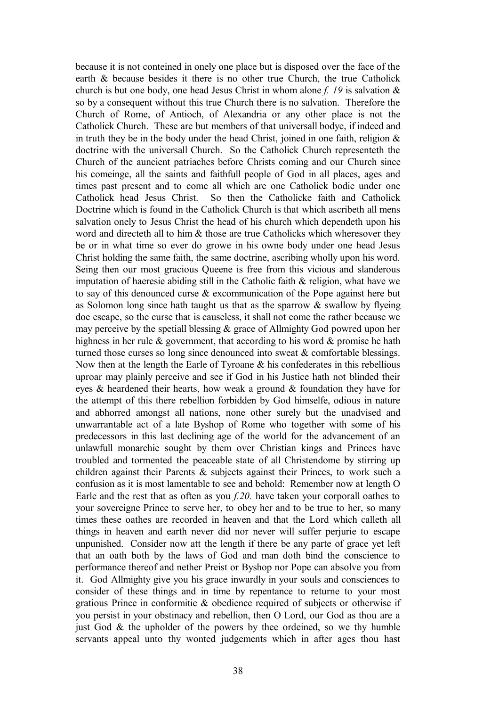because it is not conteined in onely one place but is disposed over the face of the earth & because besides it there is no other true Church, the true Catholick church is but one body, one head Jesus Christ in whom alone *f. 19* is salvation & so by a consequent without this true Church there is no salvation. Therefore the Church of Rome, of Antioch, of Alexandria or any other place is not the Catholick Church. These are but members of that universall bodye, if indeed and in truth they be in the body under the head Christ, joined in one faith, religion  $\&$ doctrine with the universall Church. So the Catholick Church representeth the Church of the auncient patriaches before Christs coming and our Church since his comeinge, all the saints and faithfull people of God in all places, ages and times past present and to come all which are one Catholick bodie under one Catholick head Jesus Christ. So then the Catholicke faith and Catholick Doctrine which is found in the Catholick Church is that which ascribeth all mens salvation onely to Jesus Christ the head of his church which dependeth upon his word and directeth all to him & those are true Catholicks which wheresover they be or in what time so ever do growe in his owne body under one head Jesus Christ holding the same faith, the same doctrine, ascribing wholly upon his word. Seing then our most gracious Queene is free from this vicious and slanderous imputation of haeresie abiding still in the Catholic faith & religion, what have we to say of this denounced curse & excommunication of the Pope against here but as Solomon long since hath taught us that as the sparrow  $\&$  swallow by flyeing doe escape, so the curse that is causeless, it shall not come the rather because we may perceive by the spetiall blessing & grace of Allmighty God powred upon her highness in her rule & government, that according to his word & promise he hath turned those curses so long since denounced into sweat & comfortable blessings. Now then at the length the Earle of Tyroane & his confederates in this rebellious uproar may plainly perceive and see if God in his Justice hath not blinded their eves  $\&$  heardened their hearts, how weak a ground  $\&$  foundation they have for the attempt of this there rebellion forbidden by God himselfe, odious in nature and abhorred amongst all nations, none other surely but the unadvised and unwarrantable act of a late Byshop of Rome who together with some of his predecessors in this last declining age of the world for the advancement of an unlawfull monarchie sought by them over Christian kings and Princes have troubled and tormented the peaceable state of all Christendome by stirring up children against their Parents & subjects against their Princes, to work such a confusion as it is most lamentable to see and behold: Remember now at length O Earle and the rest that as often as you *f.20.* have taken your corporall oathes to your sovereigne Prince to serve her, to obey her and to be true to her, so many times these oathes are recorded in heaven and that the Lord which calleth all things in heaven and earth never did nor never will suffer perjurie to escape unpunished. Consider now att the length if there be any parte of grace yet left that an oath both by the laws of God and man doth bind the conscience to performance thereof and nether Preist or Byshop nor Pope can absolve you from it. God Allmighty give you his grace inwardly in your souls and consciences to consider of these things and in time by repentance to returne to your most gratious Prince in conformitie & obedience required of subjects or otherwise if you persist in your obstinacy and rebellion, then O Lord, our God as thou are a just God  $\&$  the upholder of the powers by thee ordeined, so we thy humble servants appeal unto thy wonted judgements which in after ages thou hast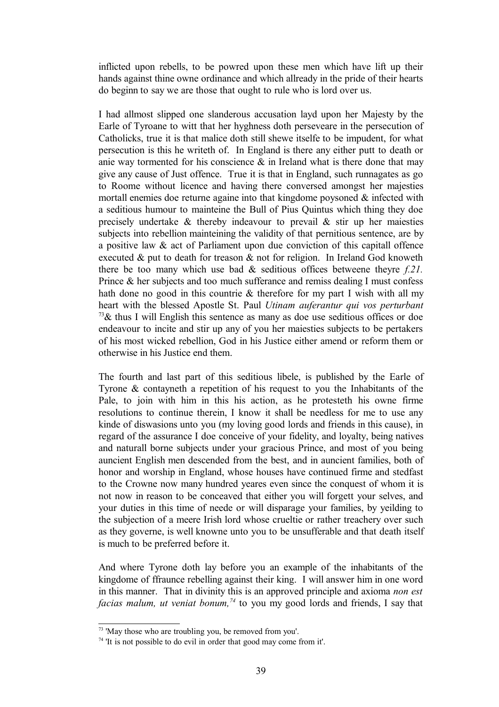inflicted upon rebells, to be powred upon these men which have lift up their hands against thine owne ordinance and which allready in the pride of their hearts do beginn to say we are those that ought to rule who is lord over us.

I had allmost slipped one slanderous accusation layd upon her Majesty by the Earle of Tyroane to witt that her hyghness doth perseveare in the persecution of Catholicks, true it is that malice doth still shewe itselfe to be impudent, for what persecution is this he writeth of. In England is there any either putt to death or anie way tormented for his conscience  $\&$  in Ireland what is there done that may give any cause of Just offence. True it is that in England, such runnagates as go to Roome without licence and having there conversed amongst her majesties mortall enemies doe returne againe into that kingdome poysoned  $\&$  infected with a seditious humour to mainteine the Bull of Pius Quintus which thing they doe precisely undertake  $\&$  thereby indeavour to prevail  $\&$  stir up her maiesties subjects into rebellion mainteining the validity of that pernitious sentence, are by a positive law & act of Parliament upon due conviction of this capitall offence executed & put to death for treason & not for religion. In Ireland God knoweth there be too many which use bad & seditious offices betweene theyre *f.21.* Prince & her subjects and too much sufferance and remiss dealing I must confess hath done no good in this countrie & therefore for my part I wish with all my heart with the blessed Apostle St. Paul *Utinam auferantur qui vos perturbant*  $73\&$  $73\&$  thus I will English this sentence as many as doe use seditious offices or doe endeavour to incite and stir up any of you her maiesties subjects to be pertakers of his most wicked rebellion, God in his Justice either amend or reform them or otherwise in his Justice end them.

The fourth and last part of this seditious libele, is published by the Earle of Tyrone & contayneth a repetition of his request to you the Inhabitants of the Pale, to join with him in this his action, as he protesteth his owne firme resolutions to continue therein, I know it shall be needless for me to use any kinde of diswasions unto you (my loving good lords and friends in this cause), in regard of the assurance I doe conceive of your fidelity, and loyalty, being natives and naturall borne subjects under your gracious Prince, and most of you being auncient English men descended from the best, and in auncient families, both of honor and worship in England, whose houses have continued firme and stedfast to the Crowne now many hundred yeares even since the conquest of whom it is not now in reason to be conceaved that either you will forgett your selves, and your duties in this time of neede or will disparage your families, by yeilding to the subjection of a meere Irish lord whose crueltie or rather treachery over such as they governe, is well knowne unto you to be unsufferable and that death itself is much to be preferred before it.

And where Tyrone doth lay before you an example of the inhabitants of the kingdome of ffraunce rebelling against their king. I will answer him in one word in this manner. That in divinity this is an approved principle and axioma *non est facias malum, ut veniat bonum,[74](#page-38-1)* to you my good lords and friends, I say that

<span id="page-38-0"></span><sup>73</sup> 'May those who are troubling you, be removed from you'.

<span id="page-38-1"></span><sup>&</sup>lt;sup>74</sup> 'It is not possible to do evil in order that good may come from it'.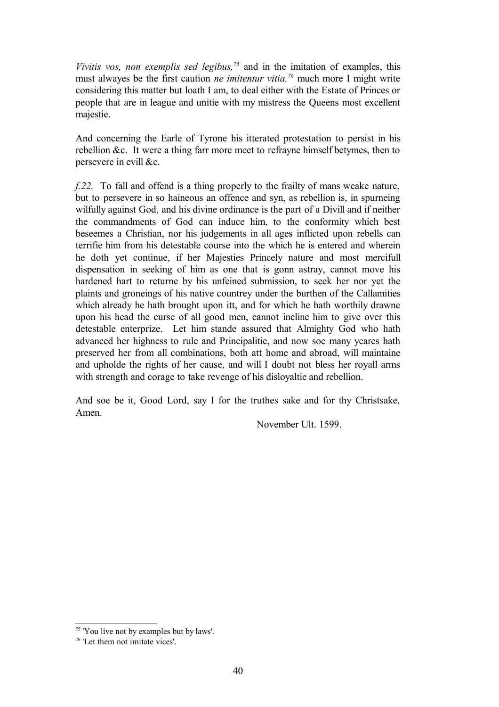*Vivitis vos, non exemplis sed legibus,[75](#page-39-0)* and in the imitation of examples, this must alwayes be the first caution *ne imitentur vitia,[76](#page-39-1)* much more I might write considering this matter but loath I am, to deal either with the Estate of Princes or people that are in league and unitie with my mistress the Queens most excellent majestie.

And concerning the Earle of Tyrone his itterated protestation to persist in his rebellion &c. It were a thing farr more meet to refrayne himself betymes, then to persevere in evill &c.

*f.22.* To fall and offend is a thing properly to the frailty of mans weake nature, but to persevere in so haineous an offence and syn, as rebellion is, in spurneing wilfully against God, and his divine ordinance is the part of a Divill and if neither the commandments of God can induce him, to the conformity which best beseemes a Christian, nor his judgements in all ages inflicted upon rebells can terrifie him from his detestable course into the which he is entered and wherein he doth yet continue, if her Majesties Princely nature and most mercifull dispensation in seeking of him as one that is gonn astray, cannot move his hardened hart to returne by his unfeined submission, to seek her nor yet the plaints and groneings of his native countrey under the burthen of the Callamities which already he hath brought upon itt, and for which he hath worthily drawne upon his head the curse of all good men, cannot incline him to give over this detestable enterprize. Let him stande assured that Almighty God who hath advanced her highness to rule and Principalitie, and now soe many yeares hath preserved her from all combinations, both att home and abroad, will maintaine and upholde the rights of her cause, and will I doubt not bless her royall arms with strength and corage to take revenge of his disloyaltie and rebellion.

And soe be it, Good Lord, say I for the truthes sake and for thy Christsake, Amen.

November Ult. 1599.

<span id="page-39-0"></span><sup>&</sup>lt;sup>75</sup> 'You live not by examples but by laws'.

<span id="page-39-1"></span><sup>76</sup> 'Let them not imitate vices'.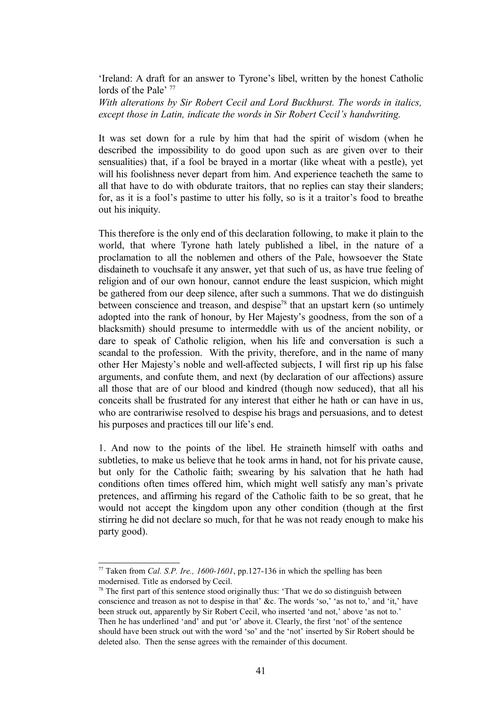'Ireland: A draft for an answer to Tyrone's libel, written by the honest Catholic lords of the Pale<sup>' [77](#page-40-0)</sup>

*With alterations by Sir Robert Cecil and Lord Buckhurst. The words in italics, except those in Latin, indicate the words in Sir Robert Cecil's handwriting.*

It was set down for a rule by him that had the spirit of wisdom (when he described the impossibility to do good upon such as are given over to their sensualities) that, if a fool be brayed in a mortar (like wheat with a pestle), yet will his foolishness never depart from him. And experience teacheth the same to all that have to do with obdurate traitors, that no replies can stay their slanders; for, as it is a fool's pastime to utter his folly, so is it a traitor's food to breathe out his iniquity.

This therefore is the only end of this declaration following, to make it plain to the world, that where Tyrone hath lately published a libel, in the nature of a proclamation to all the noblemen and others of the Pale, howsoever the State disdaineth to vouchsafe it any answer, yet that such of us, as have true feeling of religion and of our own honour, cannot endure the least suspicion, which might be gathered from our deep silence, after such a summons. That we do distinguish between conscience and treason, and despise<sup>[78](#page-40-1)</sup> that an upstart kern (so untimely adopted into the rank of honour, by Her Majesty's goodness, from the son of a blacksmith) should presume to intermeddle with us of the ancient nobility, or dare to speak of Catholic religion, when his life and conversation is such a scandal to the profession. With the privity, therefore, and in the name of many other Her Majesty's noble and well-affected subjects, I will first rip up his false arguments, and confute them, and next (by declaration of our affections) assure all those that are of our blood and kindred (though now seduced), that all his conceits shall be frustrated for any interest that either he hath or can have in us, who are contrariwise resolved to despise his brags and persuasions, and to detest his purposes and practices till our life's end.

1. And now to the points of the libel. He straineth himself with oaths and subtleties, to make us believe that he took arms in hand, not for his private cause, but only for the Catholic faith; swearing by his salvation that he hath had conditions often times offered him, which might well satisfy any man's private pretences, and affirming his regard of the Catholic faith to be so great, that he would not accept the kingdom upon any other condition (though at the first stirring he did not declare so much, for that he was not ready enough to make his party good).

<span id="page-40-0"></span> $77$  Taken from *Cal. S.P. Ire., 1600-1601*, pp.127-136 in which the spelling has been modernised. Title as endorsed by Cecil.

<span id="page-40-1"></span> $78$  The first part of this sentence stood originally thus: 'That we do so distinguish between conscience and treason as not to despise in that' &c. The words 'so,' 'as not to,' and 'it,' have been struck out, apparently by Sir Robert Cecil, who inserted 'and not,' above 'as not to.' Then he has underlined 'and' and put 'or' above it. Clearly, the first 'not' of the sentence should have been struck out with the word 'so' and the 'not' inserted by Sir Robert should be deleted also. Then the sense agrees with the remainder of this document.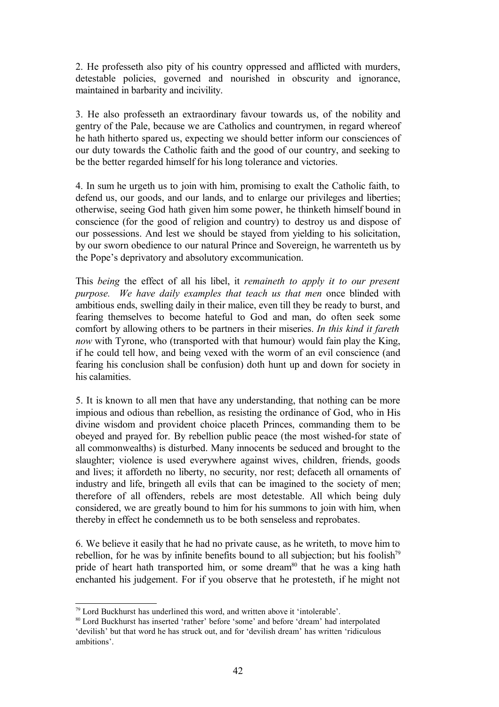2. He professeth also pity of his country oppressed and afflicted with murders, detestable policies, governed and nourished in obscurity and ignorance, maintained in barbarity and incivility.

3. He also professeth an extraordinary favour towards us, of the nobility and gentry of the Pale, because we are Catholics and countrymen, in regard whereof he hath hitherto spared us, expecting we should better inform our consciences of our duty towards the Catholic faith and the good of our country, and seeking to be the better regarded himself for his long tolerance and victories.

4. In sum he urgeth us to join with him, promising to exalt the Catholic faith, to defend us, our goods, and our lands, and to enlarge our privileges and liberties; otherwise, seeing God hath given him some power, he thinketh himself bound in conscience (for the good of religion and country) to destroy us and dispose of our possessions. And lest we should be stayed from yielding to his solicitation, by our sworn obedience to our natural Prince and Sovereign, he warrenteth us by the Pope's deprivatory and absolutory excommunication.

This *being* the effect of all his libel, it *remaineth to apply it to our present purpose. We have daily examples that teach us that men* once blinded with ambitious ends, swelling daily in their malice, even till they be ready to burst, and fearing themselves to become hateful to God and man, do often seek some comfort by allowing others to be partners in their miseries. *In this kind it fareth now* with Tyrone, who (transported with that humour) would fain play the King, if he could tell how, and being vexed with the worm of an evil conscience (and fearing his conclusion shall be confusion) doth hunt up and down for society in his calamities.

5. It is known to all men that have any understanding, that nothing can be more impious and odious than rebellion, as resisting the ordinance of God, who in His divine wisdom and provident choice placeth Princes, commanding them to be obeyed and prayed for. By rebellion public peace (the most wished-for state of all commonwealths) is disturbed. Many innocents be seduced and brought to the slaughter; violence is used everywhere against wives, children, friends, goods and lives; it affordeth no liberty, no security, nor rest; defaceth all ornaments of industry and life, bringeth all evils that can be imagined to the society of men; therefore of all offenders, rebels are most detestable. All which being duly considered, we are greatly bound to him for his summons to join with him, when thereby in effect he condemneth us to be both senseless and reprobates.

6. We believe it easily that he had no private cause, as he writeth, to move him to rebellion, for he was by infinite benefits bound to all subjection; but his foolish $7<sup>9</sup>$ pride of heart hath transported him, or some dream<sup>[80](#page-41-1)</sup> that he was a king hath enchanted his judgement. For if you observe that he protesteth, if he might not

<span id="page-41-0"></span><sup>79</sup> Lord Buckhurst has underlined this word, and written above it 'intolerable'.

<span id="page-41-1"></span><sup>80</sup> Lord Buckhurst has inserted 'rather' before 'some' and before 'dream' had interpolated 'devilish' but that word he has struck out, and for 'devilish dream' has written 'ridiculous ambitions'.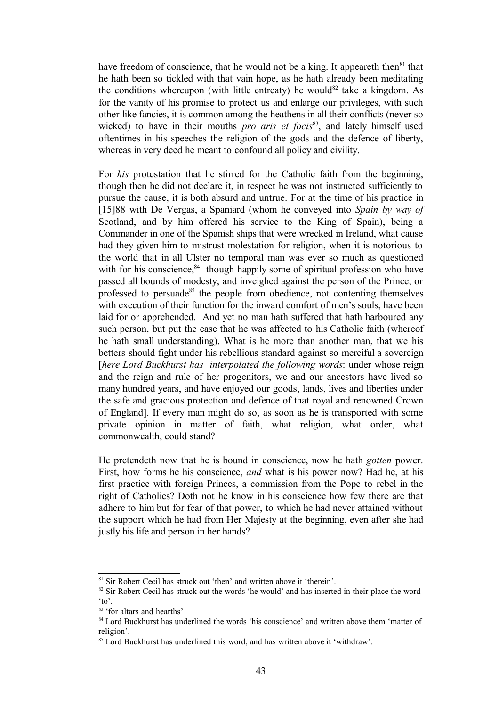have freedom of conscience, that he would not be a king. It appeareth then $81$  that he hath been so tickled with that vain hope, as he hath already been meditating the conditions whereupon (with little entreaty) he would<sup>[82](#page-42-1)</sup> take a kingdom. As for the vanity of his promise to protect us and enlarge our privileges, with such other like fancies, it is common among the heathens in all their conflicts (never so wicked) to have in their mouths *pro aris et focis*<sup>[83](#page-42-2)</sup>, and lately himself used oftentimes in his speeches the religion of the gods and the defence of liberty, whereas in very deed he meant to confound all policy and civility.

For *his* protestation that he stirred for the Catholic faith from the beginning, though then he did not declare it, in respect he was not instructed sufficiently to pursue the cause, it is both absurd and untrue. For at the time of his practice in [15]88 with De Vergas, a Spaniard (whom he conveyed into *Spain by way of* Scotland, and by him offered his service to the King of Spain), being a Commander in one of the Spanish ships that were wrecked in Ireland, what cause had they given him to mistrust molestation for religion, when it is notorious to the world that in all Ulster no temporal man was ever so much as questioned with for his conscience, $84$  though happily some of spiritual profession who have passed all bounds of modesty, and inveighed against the person of the Prince, or professed to persuade<sup>[85](#page-42-4)</sup> the people from obedience, not contenting themselves with execution of their function for the inward comfort of men's souls, have been laid for or apprehended. And yet no man hath suffered that hath harboured any such person, but put the case that he was affected to his Catholic faith (whereof he hath small understanding). What is he more than another man, that we his betters should fight under his rebellious standard against so merciful a sovereign [*here Lord Buckhurst has interpolated the following words*: under whose reign and the reign and rule of her progenitors, we and our ancestors have lived so many hundred years, and have enjoyed our goods, lands, lives and liberties under the safe and gracious protection and defence of that royal and renowned Crown of England]. If every man might do so, as soon as he is transported with some private opinion in matter of faith, what religion, what order, what commonwealth, could stand?

He pretendeth now that he is bound in conscience, now he hath *gotten* power. First, how forms he his conscience, *and* what is his power now? Had he, at his first practice with foreign Princes, a commission from the Pope to rebel in the right of Catholics? Doth not he know in his conscience how few there are that adhere to him but for fear of that power, to which he had never attained without the support which he had from Her Majesty at the beginning, even after she had justly his life and person in her hands?

<span id="page-42-0"></span><sup>&</sup>lt;sup>81</sup> Sir Robert Cecil has struck out 'then' and written above it 'therein'.

<span id="page-42-1"></span><sup>&</sup>lt;sup>82</sup> Sir Robert Cecil has struck out the words 'he would' and has inserted in their place the word 'to'.

<span id="page-42-2"></span><sup>&</sup>lt;sup>83</sup> 'for altars and hearths'

<span id="page-42-3"></span><sup>&</sup>lt;sup>84</sup> Lord Buckhurst has underlined the words 'his conscience' and written above them 'matter of religion'.

<span id="page-42-4"></span><sup>&</sup>lt;sup>85</sup> Lord Buckhurst has underlined this word, and has written above it 'withdraw'.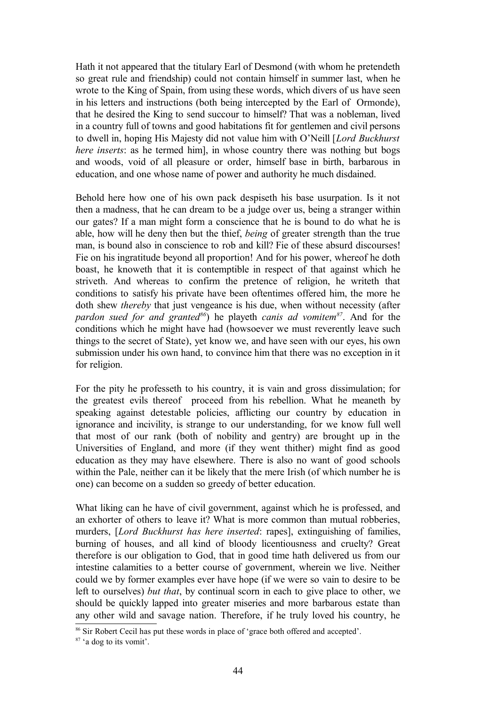Hath it not appeared that the titulary Earl of Desmond (with whom he pretendeth so great rule and friendship) could not contain himself in summer last, when he wrote to the King of Spain, from using these words, which divers of us have seen in his letters and instructions (both being intercepted by the Earl of Ormonde), that he desired the King to send succour to himself? That was a nobleman, lived in a country full of towns and good habitations fit for gentlemen and civil persons to dwell in, hoping His Majesty did not value him with O'Neill [*Lord Buckhurst here inserts*: as he termed him], in whose country there was nothing but bogs and woods, void of all pleasure or order, himself base in birth, barbarous in education, and one whose name of power and authority he much disdained.

Behold here how one of his own pack despiseth his base usurpation. Is it not then a madness, that he can dream to be a judge over us, being a stranger within our gates? If a man might form a conscience that he is bound to do what he is able, how will he deny then but the thief, *being* of greater strength than the true man, is bound also in conscience to rob and kill? Fie of these absurd discourses! Fie on his ingratitude beyond all proportion! And for his power, whereof he doth boast, he knoweth that it is contemptible in respect of that against which he striveth. And whereas to confirm the pretence of religion, he writeth that conditions to satisfy his private have been oftentimes offered him, the more he doth shew *thereby* that just vengeance is his due, when without necessity (after *pardon sued for and granted[86](#page-43-0)*) he playeth *canis ad vomitem[87](#page-43-1)*. And for the conditions which he might have had (howsoever we must reverently leave such things to the secret of State), yet know we, and have seen with our eyes, his own submission under his own hand, to convince him that there was no exception in it for religion.

For the pity he professeth to his country, it is vain and gross dissimulation; for the greatest evils thereof proceed from his rebellion. What he meaneth by speaking against detestable policies, afflicting our country by education in ignorance and incivility, is strange to our understanding, for we know full well that most of our rank (both of nobility and gentry) are brought up in the Universities of England, and more (if they went thither) might find as good education as they may have elsewhere. There is also no want of good schools within the Pale, neither can it be likely that the mere Irish (of which number he is one) can become on a sudden so greedy of better education.

What liking can he have of civil government, against which he is professed, and an exhorter of others to leave it? What is more common than mutual robberies, murders, [*Lord Buckhurst has here inserted*: rapes], extinguishing of families, burning of houses, and all kind of bloody licentiousness and cruelty? Great therefore is our obligation to God, that in good time hath delivered us from our intestine calamities to a better course of government, wherein we live. Neither could we by former examples ever have hope (if we were so vain to desire to be left to ourselves) *but that*, by continual scorn in each to give place to other, we should be quickly lapped into greater miseries and more barbarous estate than any other wild and savage nation. Therefore, if he truly loved his country, he

<span id="page-43-0"></span><sup>86</sup> Sir Robert Cecil has put these words in place of 'grace both offered and accepted'.

<span id="page-43-1"></span><sup>87</sup> 'a dog to its vomit'.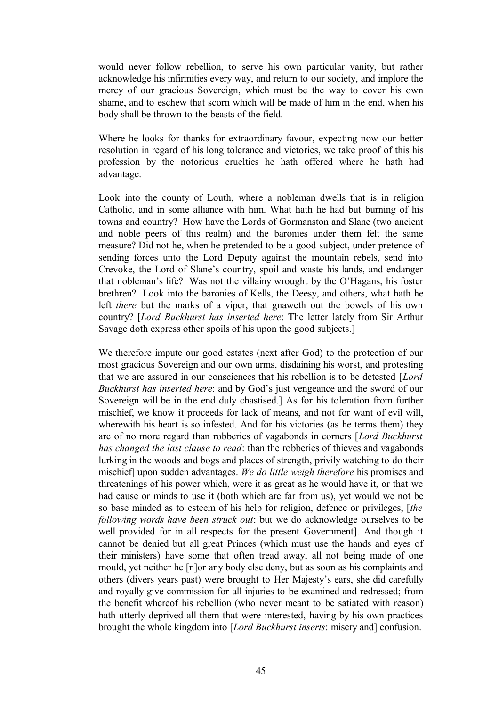would never follow rebellion, to serve his own particular vanity, but rather acknowledge his infirmities every way, and return to our society, and implore the mercy of our gracious Sovereign, which must be the way to cover his own shame, and to eschew that scorn which will be made of him in the end, when his body shall be thrown to the beasts of the field.

Where he looks for thanks for extraordinary favour, expecting now our better resolution in regard of his long tolerance and victories, we take proof of this his profession by the notorious cruelties he hath offered where he hath had advantage.

Look into the county of Louth, where a nobleman dwells that is in religion Catholic, and in some alliance with him. What hath he had but burning of his towns and country? How have the Lords of Gormanston and Slane (two ancient and noble peers of this realm) and the baronies under them felt the same measure? Did not he, when he pretended to be a good subject, under pretence of sending forces unto the Lord Deputy against the mountain rebels, send into Crevoke, the Lord of Slane's country, spoil and waste his lands, and endanger that nobleman's life? Was not the villainy wrought by the O'Hagans, his foster brethren? Look into the baronies of Kells, the Deesy, and others, what hath he left *there* but the marks of a viper, that gnaweth out the bowels of his own country? [*Lord Buckhurst has inserted here*: The letter lately from Sir Arthur Savage doth express other spoils of his upon the good subjects.]

We therefore impute our good estates (next after God) to the protection of our most gracious Sovereign and our own arms, disdaining his worst, and protesting that we are assured in our consciences that his rebellion is to be detested [*Lord Buckhurst has inserted here*: and by God's just vengeance and the sword of our Sovereign will be in the end duly chastised.] As for his toleration from further mischief, we know it proceeds for lack of means, and not for want of evil will, wherewith his heart is so infested. And for his victories (as he terms them) they are of no more regard than robberies of vagabonds in corners [*Lord Buckhurst has changed the last clause to read*: than the robberies of thieves and vagabonds lurking in the woods and bogs and places of strength, privily watching to do their mischief] upon sudden advantages. *We do little weigh therefore* his promises and threatenings of his power which, were it as great as he would have it, or that we had cause or minds to use it (both which are far from us), yet would we not be so base minded as to esteem of his help for religion, defence or privileges, [*the following words have been struck out*: but we do acknowledge ourselves to be well provided for in all respects for the present Government]. And though it cannot be denied but all great Princes (which must use the hands and eyes of their ministers) have some that often tread away, all not being made of one mould, yet neither he [n]or any body else deny, but as soon as his complaints and others (divers years past) were brought to Her Majesty's ears, she did carefully and royally give commission for all injuries to be examined and redressed; from the benefit whereof his rebellion (who never meant to be satiated with reason) hath utterly deprived all them that were interested, having by his own practices brought the whole kingdom into [*Lord Buckhurst inserts*: misery and] confusion.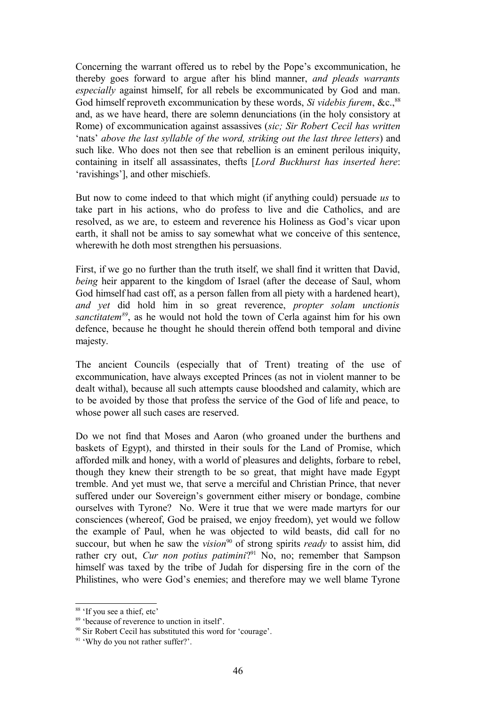Concerning the warrant offered us to rebel by the Pope's excommunication, he thereby goes forward to argue after his blind manner, *and pleads warrants especially* against himself, for all rebels be excommunicated by God and man. God himself reproveth excommunication by these words, *Si videbis furem*, &c.,<sup>[88](#page-45-0)</sup> and, as we have heard, there are solemn denunciations (in the holy consistory at Rome) of excommunication against assassives (*sic; Sir Robert Cecil has written* 'nats' *above the last syllable of the word, striking out the last three letters*) and such like. Who does not then see that rebellion is an eminent perilous iniquity, containing in itself all assassinates, thefts [*Lord Buckhurst has inserted here*: 'ravishings'], and other mischiefs.

But now to come indeed to that which might (if anything could) persuade *us* to take part in his actions, who do profess to live and die Catholics, and are resolved, as we are, to esteem and reverence his Holiness as God's vicar upon earth, it shall not be amiss to say somewhat what we conceive of this sentence, wherewith he doth most strengthen his persuasions.

First, if we go no further than the truth itself, we shall find it written that David, *being* heir apparent to the kingdom of Israel (after the decease of Saul, whom God himself had cast off, as a person fallen from all piety with a hardened heart), *and yet* did hold him in so great reverence, *propter solam unctionis sanctitatem[89](#page-45-1)*, as he would not hold the town of Cerla against him for his own defence, because he thought he should therein offend both temporal and divine majesty.

The ancient Councils (especially that of Trent) treating of the use of excommunication, have always excepted Princes (as not in violent manner to be dealt withal), because all such attempts cause bloodshed and calamity, which are to be avoided by those that profess the service of the God of life and peace, to whose power all such cases are reserved.

Do we not find that Moses and Aaron (who groaned under the burthens and baskets of Egypt), and thirsted in their souls for the Land of Promise, which afforded milk and honey, with a world of pleasures and delights, forbare to rebel, though they knew their strength to be so great, that might have made Egypt tremble. And yet must we, that serve a merciful and Christian Prince, that never suffered under our Sovereign's government either misery or bondage, combine ourselves with Tyrone? No. Were it true that we were made martyrs for our consciences (whereof, God be praised, we enjoy freedom), yet would we follow the example of Paul, when he was objected to wild beasts, did call for no succour, but when he saw the *vision*<sup>[90](#page-45-2)</sup> of strong spirits *ready* to assist him, did rather cry out, *Cur non potius patimini*?<sup>[91](#page-45-3)</sup> No, no; remember that Sampson himself was taxed by the tribe of Judah for dispersing fire in the corn of the Philistines, who were God's enemies; and therefore may we well blame Tyrone

<span id="page-45-0"></span><sup>&</sup>lt;sup>88</sup> 'If you see a thief, etc'

<span id="page-45-1"></span><sup>&</sup>lt;sup>89</sup> 'because of reverence to unction in itself'.

<span id="page-45-2"></span><sup>90</sup> Sir Robert Cecil has substituted this word for 'courage'.

<span id="page-45-3"></span><sup>&</sup>lt;sup>91</sup> 'Why do you not rather suffer?'.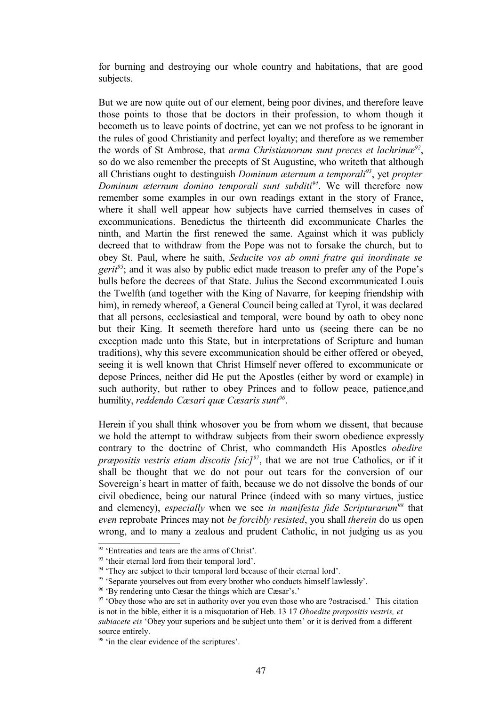for burning and destroying our whole country and habitations, that are good subjects.

But we are now quite out of our element, being poor divines, and therefore leave those points to those that be doctors in their profession, to whom though it becometh us to leave points of doctrine, yet can we not profess to be ignorant in the rules of good Christianity and perfect loyalty; and therefore as we remember the words of St Ambrose, that *arma Christianorum sunt preces et lachrimæ[92](#page-46-0)* , so do we also remember the precepts of St Augustine, who writeth that although all Christians ought to destinguish *Dominum æternum a temporali[93](#page-46-1)*, yet *propter Dominum æternum domino temporali sunt subditi[94](#page-46-2)*. We will therefore now remember some examples in our own readings extant in the story of France, where it shall well appear how subjects have carried themselves in cases of excommunications. Benedictus the thirteenth did excommunicate Charles the ninth, and Martin the first renewed the same. Against which it was publicly decreed that to withdraw from the Pope was not to forsake the church, but to obey St. Paul, where he saith, *Seducite vos ab omni fratre qui inordinate se gerit<sup>[95](#page-46-3)</sup>*; and it was also by public edict made treason to prefer any of the Pope's bulls before the decrees of that State. Julius the Second excommunicated Louis the Twelfth (and together with the King of Navarre, for keeping friendship with him), in remedy whereof, a General Council being called at Tyrol, it was declared that all persons, ecclesiastical and temporal, were bound by oath to obey none but their King. It seemeth therefore hard unto us (seeing there can be no exception made unto this State, but in interpretations of Scripture and human traditions), why this severe excommunication should be either offered or obeyed, seeing it is well known that Christ Himself never offered to excommunicate or depose Princes, neither did He put the Apostles (either by word or example) in such authority, but rather to obey Princes and to follow peace, patience,and humility, *reddendo Cæsari quæ Cæsaris sunt[96](#page-46-4)* .

Herein if you shall think whosover you be from whom we dissent, that because we hold the attempt to withdraw subjects from their sworn obedience expressly contrary to the doctrine of Christ, who commandeth His Apostles *obedire præpositis vestris etiam discotis [sic][97](#page-46-5)*, that we are not true Catholics, or if it shall be thought that we do not pour out tears for the conversion of our Sovereign's heart in matter of faith, because we do not dissolve the bonds of our civil obedience, being our natural Prince (indeed with so many virtues, justice and clemency), *especially* when we see *in manifesta fide Scripturarum[98](#page-46-6)* that *even* reprobate Princes may not *be forcibly resisted*, you shall *therein* do us open wrong, and to many a zealous and prudent Catholic, in not judging us as you

<span id="page-46-0"></span><sup>&</sup>lt;sup>92</sup> 'Entreaties and tears are the arms of Christ'.

<span id="page-46-1"></span><sup>&</sup>lt;sup>93</sup> 'their eternal lord from their temporal lord'.

<span id="page-46-2"></span><sup>&</sup>lt;sup>94</sup> 'They are subject to their temporal lord because of their eternal lord'.

<span id="page-46-3"></span><sup>&</sup>lt;sup>95</sup> 'Separate yourselves out from every brother who conducts himself lawlessly'.

<span id="page-46-4"></span><sup>96</sup> 'By rendering unto Cæsar the things which are Cæsar's.'

<span id="page-46-5"></span> $97$  'Obey those who are set in authority over you even those who are ?ostracised.' This citation is not in the bible, either it is a misquotation of Heb. 13 17 *Oboedite præpositis vestris, et subiacete eis* 'Obey your superiors and be subject unto them' or it is derived from a different source entirely.

<span id="page-46-6"></span><sup>&</sup>lt;sup>98</sup> 'in the clear evidence of the scriptures'.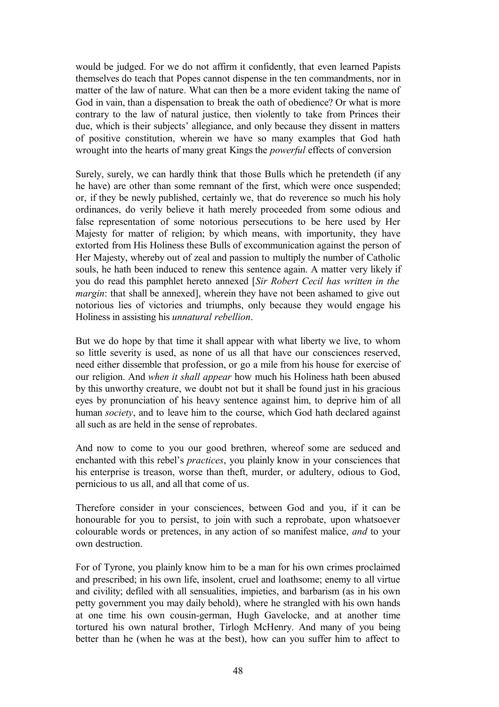would be judged. For we do not affirm it confidently, that even learned Papists themselves do teach that Popes cannot dispense in the ten commandments, nor in matter of the law of nature. What can then be a more evident taking the name of God in vain, than a dispensation to break the oath of obedience? Or what is more contrary to the law of natural justice, then violently to take from Princes their due, which is their subjects' allegiance, and only because they dissent in matters of positive constitution, wherein we have so many examples that God hath wrought into the hearts of many great Kings the *powerful* effects of conversion

Surely, surely, we can hardly think that those Bulls which he pretendeth (if any he have) are other than some remnant of the first, which were once suspended; or, if they be newly published, certainly we, that do reverence so much his holy ordinances, do verily believe it hath merely proceeded from some odious and false representation of some notorious persecutions to be here used by Her Majesty for matter of religion; by which means, with importunity, they have extorted from His Holiness these Bulls of excommunication against the person of Her Majesty, whereby out of zeal and passion to multiply the number of Catholic souls, he hath been induced to renew this sentence again. A matter very likely if you do read this pamphlet hereto annexed [*Sir Robert Cecil has written in the margin*: that shall be annexed], wherein they have not been ashamed to give out notorious lies of victories and triumphs, only because they would engage his Holiness in assisting his *unnatural rebellion*.

But we do hope by that time it shall appear with what liberty we live, to whom so little severity is used, as none of us all that have our consciences reserved, need either dissemble that profession, or go a mile from his house for exercise of our religion. And *when it shall appear* how much his Holiness hath been abused by this unworthy creature, we doubt not but it shall be found just in his gracious eyes by pronunciation of his heavy sentence against him, to deprive him of all human *society*, and to leave him to the course, which God hath declared against all such as are held in the sense of reprobates.

And now to come to you our good brethren, whereof some are seduced and enchanted with this rebel's *practices*, you plainly know in your consciences that his enterprise is treason, worse than theft, murder, or adultery, odious to God, pernicious to us all, and all that come of us.

Therefore consider in your consciences, between God and you, if it can be honourable for you to persist, to join with such a reprobate, upon whatsoever colourable words or pretences, in any action of so manifest malice, *and* to your own destruction.

For of Tyrone, you plainly know him to be a man for his own crimes proclaimed and prescribed; in his own life, insolent, cruel and loathsome; enemy to all virtue and civility; defiled with all sensualities, impieties, and barbarism (as in his own petty government you may daily behold), where he strangled with his own hands at one time his own cousin-german, Hugh Gavelocke, and at another time tortured his own natural brother, Tirlogh McHenry. And many of you being better than he (when he was at the best), how can you suffer him to affect to